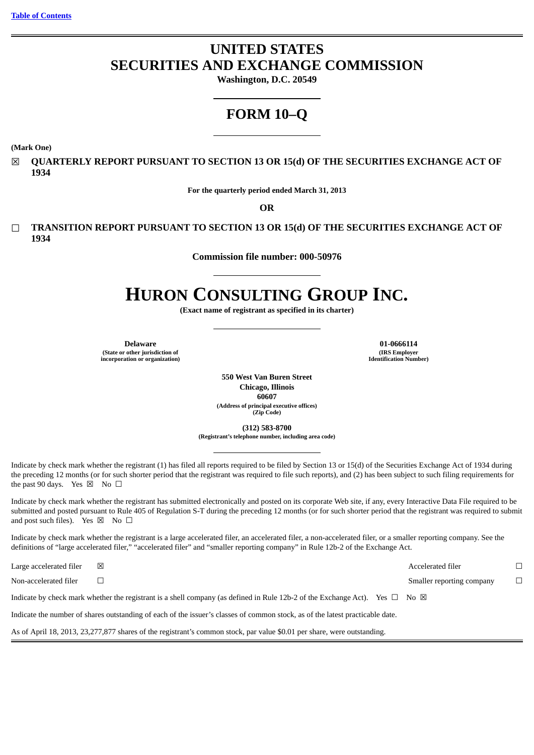# **UNITED STATES SECURITIES AND EXCHANGE COMMISSION**

**Washington, D.C. 20549**

# **FORM 10–Q**

**(Mark One)**

☒ **QUARTERLY REPORT PURSUANT TO SECTION 13 OR 15(d) OF THE SECURITIES EXCHANGE ACT OF 1934**

**For the quarterly period ended March 31, 2013**

**OR**

☐ **TRANSITION REPORT PURSUANT TO SECTION 13 OR 15(d) OF THE SECURITIES EXCHANGE ACT OF 1934**

**Commission file number: 000-50976**

# **HURON CONSULTING GROUP INC.**

**(Exact name of registrant as specified in its charter)**

**Delaware 01-0666114 (State or other jurisdiction of incorporation or organization)**

**(IRS Employer Identification Number)**

**550 West Van Buren Street Chicago, Illinois 60607 (Address of principal executive offices) (Zip Code)**

**(312) 583-8700 (Registrant's telephone number, including area code)**

Indicate by check mark whether the registrant (1) has filed all reports required to be filed by Section 13 or 15(d) of the Securities Exchange Act of 1934 during the preceding 12 months (or for such shorter period that the registrant was required to file such reports), and (2) has been subject to such filing requirements for the past 90 days. Yes  $\boxtimes$  No  $\Box$ 

Indicate by check mark whether the registrant has submitted electronically and posted on its corporate Web site, if any, every Interactive Data File required to be submitted and posted pursuant to Rule 405 of Regulation S-T during the preceding 12 months (or for such shorter period that the registrant was required to submit and post such files). Yes  $\boxtimes$  No  $\Box$ 

Indicate by check mark whether the registrant is a large accelerated filer, an accelerated filer, a non-accelerated filer, or a smaller reporting company. See the definitions of "large accelerated filer," "accelerated filer" and "smaller reporting company" in Rule 12b-2 of the Exchange Act.

| Large accelerated filer                                                                                                       | ⊠                                                                                                                                          |  | Accelerated filer         |        |  |  |
|-------------------------------------------------------------------------------------------------------------------------------|--------------------------------------------------------------------------------------------------------------------------------------------|--|---------------------------|--------|--|--|
| Non-accelerated filer                                                                                                         |                                                                                                                                            |  | Smaller reporting company | $\Box$ |  |  |
|                                                                                                                               | Indicate by check mark whether the registrant is a shell company (as defined in Rule 12b-2 of the Exchange Act). Yes $\Box$ No $\boxtimes$ |  |                           |        |  |  |
| Indicate the number of shares outstanding of each of the issuer's classes of common stock, as of the latest practicable date. |                                                                                                                                            |  |                           |        |  |  |
|                                                                                                                               |                                                                                                                                            |  |                           |        |  |  |

As of April 18, 2013, 23,277,877 shares of the registrant's common stock, par value \$0.01 per share, were outstanding.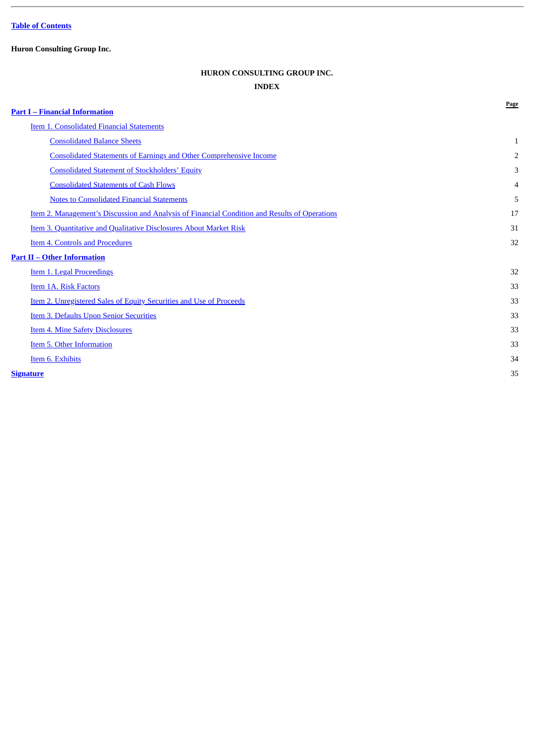**Huron Consulting Group Inc.**

### **HURON CONSULTING GROUP INC.**

### **INDEX**

<span id="page-1-0"></span>

| <b>Part I - Financial Information</b>                                                         | Page         |
|-----------------------------------------------------------------------------------------------|--------------|
| <b>Item 1. Consolidated Financial Statements</b>                                              |              |
| <b>Consolidated Balance Sheets</b>                                                            | $\mathbf{1}$ |
| <b>Consolidated Statements of Earnings and Other Comprehensive Income</b>                     | 2            |
| <b>Consolidated Statement of Stockholders' Equity</b>                                         | 3            |
| <b>Consolidated Statements of Cash Flows</b>                                                  | 4            |
| <b>Notes to Consolidated Financial Statements</b>                                             | 5            |
| Item 2. Management's Discussion and Analysis of Financial Condition and Results of Operations | 17           |
| <b>Item 3. Quantitative and Qualitative Disclosures About Market Risk</b>                     | 31           |
| <b>Item 4. Controls and Procedures</b>                                                        | 32           |
| <u> Part II - Other Information</u>                                                           |              |
| <b>Item 1. Legal Proceedings</b>                                                              | 32           |
| Item 1A. Risk Factors                                                                         | 33           |
| Item 2. Unregistered Sales of Equity Securities and Use of Proceeds                           | 33           |
| Item 3. Defaults Upon Senior Securities                                                       | 33           |
| <b>Item 4. Mine Safety Disclosures</b>                                                        | 33           |
| Item 5. Other Information                                                                     | 33           |
| Item 6. Exhibits                                                                              | 34           |
| <b>Signature</b>                                                                              | 35           |
|                                                                                               |              |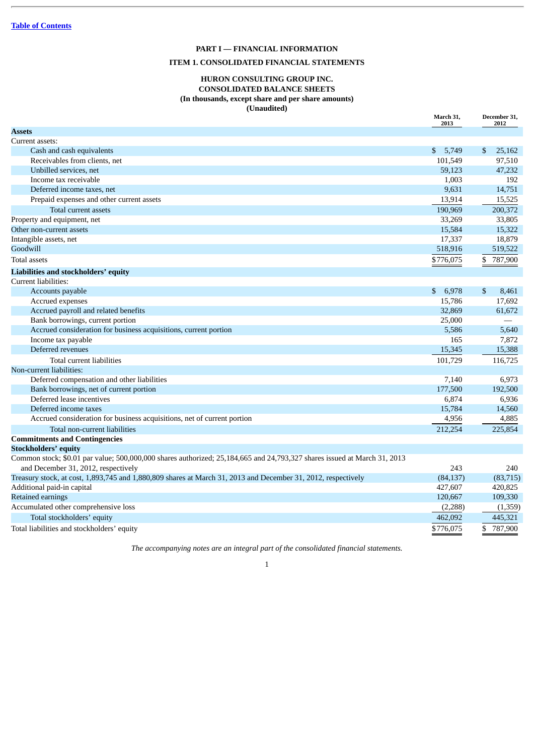### **PART I — FINANCIAL INFORMATION**

#### **ITEM 1. CONSOLIDATED FINANCIAL STATEMENTS**

### **HURON CONSULTING GROUP INC. CONSOLIDATED BALANCE SHEETS (In thousands, except share and per share amounts) (Unaudited)**

<span id="page-2-2"></span><span id="page-2-1"></span><span id="page-2-0"></span>

|                                                                                                                          | March 31,<br>2013     | December 31,<br>2012   |
|--------------------------------------------------------------------------------------------------------------------------|-----------------------|------------------------|
| <b>Assets</b>                                                                                                            |                       |                        |
| Current assets:                                                                                                          |                       |                        |
| Cash and cash equivalents                                                                                                | $\mathbb{S}$<br>5,749 | 25,162<br>$\mathbb{S}$ |
| Receivables from clients, net                                                                                            | 101,549               | 97,510                 |
| Unbilled services, net                                                                                                   | 59,123                | 47,232                 |
| Income tax receivable                                                                                                    | 1,003                 | 192                    |
| Deferred income taxes, net                                                                                               | 9,631                 | 14,751                 |
| Prepaid expenses and other current assets                                                                                | 13,914                | 15,525                 |
| Total current assets                                                                                                     | 190,969               | 200,372                |
| Property and equipment, net                                                                                              | 33,269                | 33,805                 |
| Other non-current assets                                                                                                 | 15,584                | 15,322                 |
| Intangible assets, net                                                                                                   | 17,337                | 18,879                 |
| Goodwill                                                                                                                 | 518,916               | 519,522                |
| <b>Total assets</b>                                                                                                      | \$776,075             | \$<br>787,900          |
| Liabilities and stockholders' equity                                                                                     |                       |                        |
| Current liabilities:                                                                                                     |                       |                        |
| Accounts payable                                                                                                         | \$<br>6,978           | $\mathbb{S}$<br>8,461  |
| Accrued expenses                                                                                                         | 15,786                | 17,692                 |
| Accrued payroll and related benefits                                                                                     | 32,869                | 61,672                 |
| Bank borrowings, current portion                                                                                         | 25,000                |                        |
| Accrued consideration for business acquisitions, current portion                                                         | 5,586                 | 5,640                  |
| Income tax payable                                                                                                       | 165                   | 7,872                  |
| Deferred revenues                                                                                                        | 15,345                | 15,388                 |
| Total current liabilities                                                                                                | 101,729               | 116,725                |
| Non-current liabilities:                                                                                                 |                       |                        |
| Deferred compensation and other liabilities                                                                              | 7,140                 | 6,973                  |
| Bank borrowings, net of current portion                                                                                  | 177,500               | 192,500                |
| Deferred lease incentives                                                                                                | 6,874                 | 6,936                  |
| Deferred income taxes                                                                                                    | 15,784                | 14,560                 |
| Accrued consideration for business acquisitions, net of current portion                                                  | 4,956                 | 4,885                  |
| Total non-current liabilities                                                                                            | 212,254               | 225,854                |
| <b>Commitments and Contingencies</b>                                                                                     |                       |                        |
| Stockholders' equity                                                                                                     |                       |                        |
| Common stock; \$0.01 par value; 500,000,000 shares authorized; 25,184,665 and 24,793,327 shares issued at March 31, 2013 |                       |                        |
| and December 31, 2012, respectively                                                                                      | 243                   | 240                    |
| Treasury stock, at cost, 1,893,745 and 1,880,809 shares at March 31, 2013 and December 31, 2012, respectively            | (84, 137)             | (83,715)               |
| Additional paid-in capital                                                                                               | 427,607               | 420,825                |
| Retained earnings                                                                                                        | 120,667               | 109,330                |
| Accumulated other comprehensive loss                                                                                     | (2, 288)              | (1,359)                |
| Total stockholders' equity                                                                                               | 462,092               | 445,321                |
| Total liabilities and stockholders' equity                                                                               | \$776,075             | \$787,900              |

*The accompanying notes are an integral part of the consolidated financial statements.*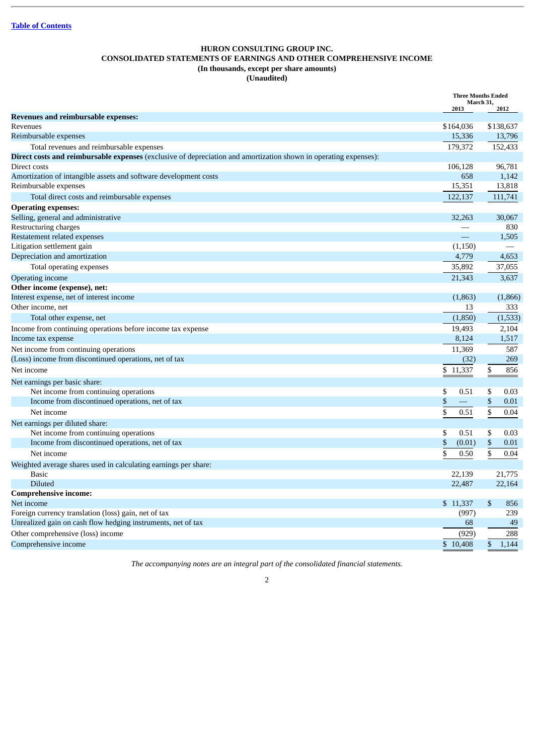### **HURON CONSULTING GROUP INC. CONSOLIDATED STATEMENTS OF EARNINGS AND OTHER COMPREHENSIVE INCOME (In thousands, except per share amounts)**

**(Unaudited)**

<span id="page-3-0"></span>

|                                                                                                                  | <b>Three Months Ended</b><br>March 31, |             |
|------------------------------------------------------------------------------------------------------------------|----------------------------------------|-------------|
|                                                                                                                  | 2013                                   | 2012        |
| <b>Revenues and reimbursable expenses:</b>                                                                       |                                        |             |
| Revenues                                                                                                         | \$164,036                              | \$138,637   |
| Reimbursable expenses                                                                                            | 15,336                                 | 13,796      |
| Total revenues and reimbursable expenses                                                                         | 179,372                                | 152,433     |
| Direct costs and reimbursable expenses (exclusive of depreciation and amortization shown in operating expenses): |                                        |             |
| Direct costs                                                                                                     | 106,128                                | 96,781      |
| Amortization of intangible assets and software development costs                                                 | 658                                    | 1.142       |
| Reimbursable expenses                                                                                            | 15,351                                 | 13,818      |
| Total direct costs and reimbursable expenses                                                                     | 122,137                                | 111,741     |
| <b>Operating expenses:</b>                                                                                       |                                        |             |
| Selling, general and administrative                                                                              | 32,263                                 | 30,067      |
| Restructuring charges                                                                                            | $\qquad \qquad$                        | 830         |
| Restatement related expenses                                                                                     | $\equiv$                               | 1,505       |
| Litigation settlement gain                                                                                       | (1, 150)                               |             |
| Depreciation and amortization                                                                                    | 4,779                                  | 4,653       |
| Total operating expenses                                                                                         | 35,892                                 | 37,055      |
| Operating income                                                                                                 | 21,343                                 | 3,637       |
| Other income (expense), net:                                                                                     |                                        |             |
| Interest expense, net of interest income                                                                         | (1,863)                                | (1,866)     |
| Other income, net                                                                                                | 13                                     | 333         |
| Total other expense, net                                                                                         | (1,850)                                | (1,533)     |
| Income from continuing operations before income tax expense                                                      | 19,493                                 | 2,104       |
| Income tax expense                                                                                               | 8,124                                  | 1,517       |
| Net income from continuing operations                                                                            | 11,369                                 | 587         |
| (Loss) income from discontinued operations, net of tax                                                           | (32)                                   | 269         |
| Net income                                                                                                       | \$11,337                               | \$<br>856   |
| Net earnings per basic share:                                                                                    |                                        |             |
| Net income from continuing operations                                                                            | 0.51<br>\$                             | \$<br>0.03  |
| Income from discontinued operations, net of tax                                                                  | \$                                     | \$<br>0.01  |
| Net income                                                                                                       | \$<br>0.51                             | \$<br>0.04  |
| Net earnings per diluted share:                                                                                  |                                        |             |
| Net income from continuing operations                                                                            | \$<br>0.51                             | \$<br>0.03  |
| Income from discontinued operations, net of tax                                                                  | \$<br>(0.01)                           | \$<br>0.01  |
| Net income                                                                                                       | \$<br>0.50                             | \$<br>0.04  |
|                                                                                                                  |                                        |             |
| Weighted average shares used in calculating earnings per share:<br><b>Basic</b>                                  | 22,139                                 | 21,775      |
| <b>Diluted</b>                                                                                                   | 22,487                                 | 22,164      |
| <b>Comprehensive income:</b>                                                                                     |                                        |             |
| Net income                                                                                                       | \$11,337                               | \$<br>856   |
| Foreign currency translation (loss) gain, net of tax                                                             | (997)                                  | 239         |
| Unrealized gain on cash flow hedging instruments, net of tax                                                     | 68                                     | 49          |
| Other comprehensive (loss) income                                                                                | (929)                                  | 288         |
| Comprehensive income                                                                                             | \$10,408                               | \$<br>1,144 |
|                                                                                                                  |                                        |             |

*The accompanying notes are an integral part of the consolidated financial statements.*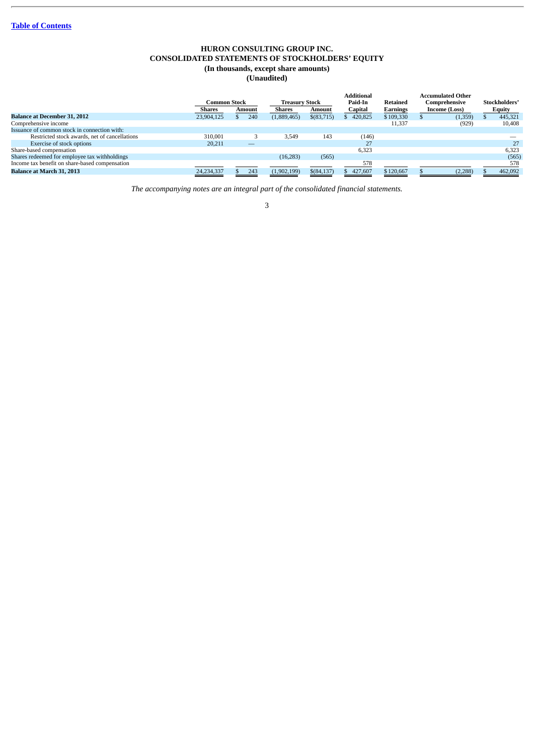### **HURON CONSULTING GROUP INC. CONSOLIDATED STATEMENTS OF STOCKHOLDERS' EQUITY (In thousands, except share amounts)**

**(Unaudited)**

<span id="page-4-0"></span>

|                                                | Common Stock            |     | Treasury Stock |               | <b>Additional</b><br>Paid-In | Retained        | <b>Accumulated Other</b><br>Comprehensive |          | Stockholders' |
|------------------------------------------------|-------------------------|-----|----------------|---------------|------------------------------|-----------------|-------------------------------------------|----------|---------------|
|                                                | <b>Shares</b><br>Amount |     | <b>Shares</b>  | <b>Amount</b> | Capital                      | <b>Earnings</b> | Income (Loss)                             |          | <b>Equity</b> |
| <b>Balance at December 31, 2012</b>            | 23,904,125              | 240 | (1,889,465)    | \$(83,715)    | 420,825                      | \$109,330       |                                           | (1,359)  | 445,321       |
| Comprehensive income                           |                         |     |                |               |                              | 11,337          |                                           | (929)    | 10,408        |
| Issuance of common stock in connection with:   |                         |     |                |               |                              |                 |                                           |          |               |
| Restricted stock awards, net of cancellations  | 310.001                 |     | 3.549          | 143           | (146)                        |                 |                                           |          |               |
| Exercise of stock options                      | 20.211                  |     |                |               | 27                           |                 |                                           |          | 27            |
| Share-based compensation                       |                         |     |                |               | 6,323                        |                 |                                           |          | 6,323         |
| Shares redeemed for employee tax withholdings  |                         |     | (16, 283)      | (565)         |                              |                 |                                           |          | (565)         |
| Income tax benefit on share-based compensation |                         |     |                |               | 578                          |                 |                                           |          | 578           |
| <b>Balance at March 31, 2013</b>               | 24, 234, 337            | 243 | (1,902,199)    | \$(84,137)    | \$427,607                    | \$120,667       |                                           | (2, 288) | 462,092       |

*The accompanying notes are an integral part of the consolidated financial statements.*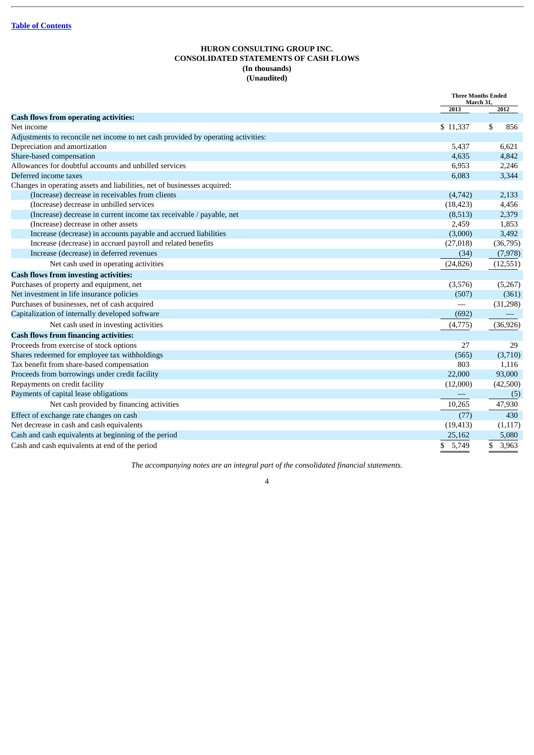### **HURON CONSULTING GROUP INC. CONSOLIDATED STATEMENTS OF CASH FLOWS (In thousands) (Unaudited)**

<span id="page-5-0"></span>

|                                                                                   |           | <b>Three Months Ended</b><br>March 31, |
|-----------------------------------------------------------------------------------|-----------|----------------------------------------|
|                                                                                   | 2013      | 2012                                   |
| <b>Cash flows from operating activities:</b>                                      |           |                                        |
| Net income                                                                        | \$11,337  | \$<br>856                              |
| Adjustments to reconcile net income to net cash provided by operating activities: |           |                                        |
| Depreciation and amortization                                                     | 5,437     | 6,621                                  |
| Share-based compensation                                                          | 4,635     | 4,842                                  |
| Allowances for doubtful accounts and unbilled services                            | 6,953     | 2,246                                  |
| Deferred income taxes                                                             | 6,083     | 3,344                                  |
| Changes in operating assets and liabilities, net of businesses acquired:          |           |                                        |
| (Increase) decrease in receivables from clients                                   | (4,742)   | 2,133                                  |
| (Increase) decrease in unbilled services                                          | (18, 423) | 4,456                                  |
| (Increase) decrease in current income tax receivable / payable, net               | (8,513)   | 2,379                                  |
| (Increase) decrease in other assets                                               | 2,459     | 1,853                                  |
| Increase (decrease) in accounts payable and accrued liabilities                   | (3,000)   | 3,492                                  |
| Increase (decrease) in accrued payroll and related benefits                       | (27, 018) | (36, 795)                              |
| Increase (decrease) in deferred revenues                                          | (34)      | (7,978)                                |
| Net cash used in operating activities                                             | (24, 826) | (12, 551)                              |
| <b>Cash flows from investing activities:</b>                                      |           |                                        |
| Purchases of property and equipment, net                                          | (3,576)   | (5,267)                                |
| Net investment in life insurance policies                                         | (507)     | (361)                                  |
| Purchases of businesses, net of cash acquired                                     |           | (31,298)                               |
| Capitalization of internally developed software                                   | (692)     |                                        |
| Net cash used in investing activities                                             | (4,775)   | (36, 926)                              |
| <b>Cash flows from financing activities:</b>                                      |           |                                        |
| Proceeds from exercise of stock options                                           | 27        | 29                                     |
| Shares redeemed for employee tax withholdings                                     | (565)     | (3,710)                                |
| Tax benefit from share-based compensation                                         | 803       | 1,116                                  |
| Proceeds from borrowings under credit facility                                    | 22,000    | 93,000                                 |
| Repayments on credit facility                                                     | (12,000)  | (42,500)                               |
| Payments of capital lease obligations                                             |           | (5)                                    |
| Net cash provided by financing activities                                         | 10,265    | 47,930                                 |
| Effect of exchange rate changes on cash                                           | (77)      | 430                                    |
| Net decrease in cash and cash equivalents                                         | (19, 413) | (1,117)                                |
| Cash and cash equivalents at beginning of the period                              | 25,162    | 5,080                                  |
| Cash and cash equivalents at end of the period                                    | \$5,749   | \$<br>3,963                            |

*The accompanying notes are an integral part of the consolidated financial statements.*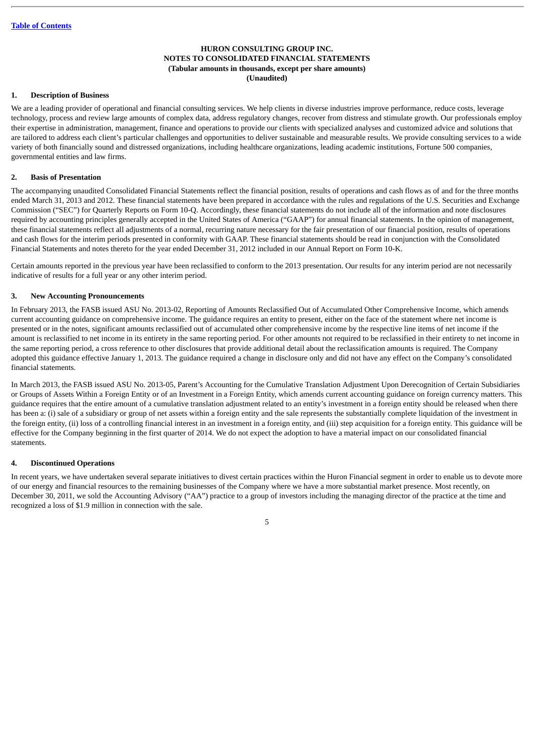#### <span id="page-6-0"></span>**1. Description of Business**

We are a leading provider of operational and financial consulting services. We help clients in diverse industries improve performance, reduce costs, leverage technology, process and review large amounts of complex data, address regulatory changes, recover from distress and stimulate growth. Our professionals employ their expertise in administration, management, finance and operations to provide our clients with specialized analyses and customized advice and solutions that are tailored to address each client's particular challenges and opportunities to deliver sustainable and measurable results. We provide consulting services to a wide variety of both financially sound and distressed organizations, including healthcare organizations, leading academic institutions, Fortune 500 companies, governmental entities and law firms.

#### **2. Basis of Presentation**

The accompanying unaudited Consolidated Financial Statements reflect the financial position, results of operations and cash flows as of and for the three months ended March 31, 2013 and 2012. These financial statements have been prepared in accordance with the rules and regulations of the U.S. Securities and Exchange Commission ("SEC") for Quarterly Reports on Form 10-Q. Accordingly, these financial statements do not include all of the information and note disclosures required by accounting principles generally accepted in the United States of America ("GAAP") for annual financial statements. In the opinion of management, these financial statements reflect all adjustments of a normal, recurring nature necessary for the fair presentation of our financial position, results of operations and cash flows for the interim periods presented in conformity with GAAP. These financial statements should be read in conjunction with the Consolidated Financial Statements and notes thereto for the year ended December 31, 2012 included in our Annual Report on Form 10-K.

Certain amounts reported in the previous year have been reclassified to conform to the 2013 presentation. Our results for any interim period are not necessarily indicative of results for a full year or any other interim period.

#### **3. New Accounting Pronouncements**

In February 2013, the FASB issued ASU No. 2013-02, Reporting of Amounts Reclassified Out of Accumulated Other Comprehensive Income, which amends current accounting guidance on comprehensive income. The guidance requires an entity to present, either on the face of the statement where net income is presented or in the notes, significant amounts reclassified out of accumulated other comprehensive income by the respective line items of net income if the amount is reclassified to net income in its entirety in the same reporting period. For other amounts not required to be reclassified in their entirety to net income in the same reporting period, a cross reference to other disclosures that provide additional detail about the reclassification amounts is required. The Company adopted this guidance effective January 1, 2013. The guidance required a change in disclosure only and did not have any effect on the Company's consolidated financial statements.

In March 2013, the FASB issued ASU No. 2013-05, Parent's Accounting for the Cumulative Translation Adjustment Upon Derecognition of Certain Subsidiaries or Groups of Assets Within a Foreign Entity or of an Investment in a Foreign Entity, which amends current accounting guidance on foreign currency matters. This guidance requires that the entire amount of a cumulative translation adjustment related to an entity's investment in a foreign entity should be released when there has been a: (i) sale of a subsidiary or group of net assets within a foreign entity and the sale represents the substantially complete liquidation of the investment in the foreign entity, (ii) loss of a controlling financial interest in an investment in a foreign entity, and (iii) step acquisition for a foreign entity. This guidance will be effective for the Company beginning in the first quarter of 2014. We do not expect the adoption to have a material impact on our consolidated financial statements.

#### **4. Discontinued Operations**

In recent years, we have undertaken several separate initiatives to divest certain practices within the Huron Financial segment in order to enable us to devote more of our energy and financial resources to the remaining businesses of the Company where we have a more substantial market presence. Most recently, on December 30, 2011, we sold the Accounting Advisory ("AA") practice to a group of investors including the managing director of the practice at the time and recognized a loss of \$1.9 million in connection with the sale.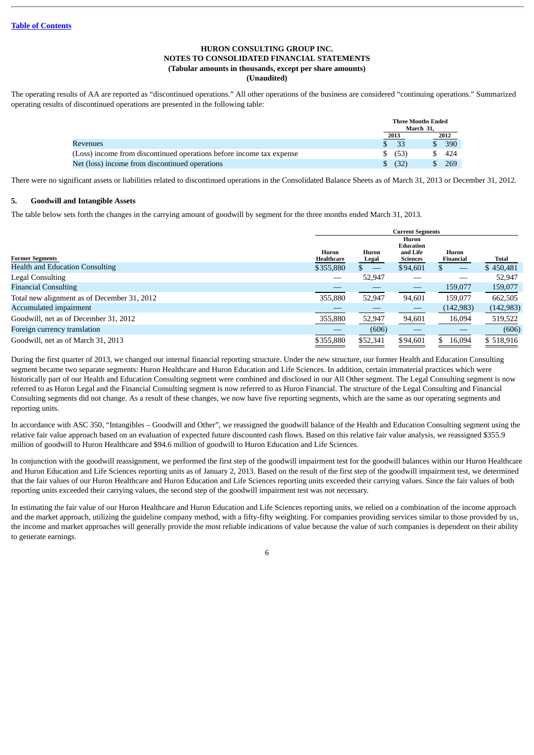The operating results of AA are reported as "discontinued operations." All other operations of the business are considered "continuing operations." Summarized operating results of discontinued operations are presented in the following table:

|                                                                      | <b>Three Months Ended</b><br>March 31. |      |      |       |
|----------------------------------------------------------------------|----------------------------------------|------|------|-------|
|                                                                      | 2013                                   |      | 2012 |       |
| Revenues                                                             |                                        | 33   |      | - 390 |
| (Loss) income from discontinued operations before income tax expense | \$                                     | (53) |      | 424   |
| Net (loss) income from discontinued operations                       |                                        | (32) |      | 269   |

There were no significant assets or liabilities related to discontinued operations in the Consolidated Balance Sheets as of March 31, 2013 or December 31, 2012.

#### **5. Goodwill and Intangible Assets**

The table below sets forth the changes in the carrying amount of goodwill by segment for the three months ended March 31, 2013.

|                                             | <b>Current Segments</b> |                       |                                                   |                    |            |  |  |
|---------------------------------------------|-------------------------|-----------------------|---------------------------------------------------|--------------------|------------|--|--|
| <b>Former Segments</b>                      | Huron<br>Healthcare     | <b>Huron</b><br>Legal | Huron<br>Education<br>and Life<br><b>Sciences</b> | Huron<br>Financial | Total      |  |  |
| <b>Health and Education Consulting</b>      | \$355,880               |                       | \$94,601                                          |                    | \$450,481  |  |  |
| Legal Consulting                            |                         | 52.947                |                                                   |                    | 52.947     |  |  |
| <b>Financial Consulting</b>                 |                         |                       |                                                   | 159,077            | 159,077    |  |  |
| Total new alignment as of December 31, 2012 | 355,880                 | 52,947                | 94,601                                            | 159,077            | 662,505    |  |  |
| Accumulated impairment                      |                         |                       |                                                   | (142, 983)         | (142, 983) |  |  |
| Goodwill, net as of December 31, 2012       | 355,880                 | 52,947                | 94,601                                            | 16,094             | 519,522    |  |  |
| Foreign currency translation                |                         | (606)                 |                                                   |                    | (606)      |  |  |
| Goodwill, net as of March 31, 2013          | \$355,880               | \$52,341              | \$94,601                                          | 16,094<br>S.       | \$518,916  |  |  |

During the first quarter of 2013, we changed our internal financial reporting structure. Under the new structure, our former Health and Education Consulting segment became two separate segments: Huron Healthcare and Huron Education and Life Sciences. In addition, certain immaterial practices which were historically part of our Health and Education Consulting segment were combined and disclosed in our All Other segment. The Legal Consulting segment is now referred to as Huron Legal and the Financial Consulting segment is now referred to as Huron Financial. The structure of the Legal Consulting and Financial Consulting segments did not change. As a result of these changes, we now have five reporting segments, which are the same as our operating segments and reporting units.

In accordance with ASC 350, "Intangibles – Goodwill and Other", we reassigned the goodwill balance of the Health and Education Consulting segment using the relative fair value approach based on an evaluation of expected future discounted cash flows. Based on this relative fair value analysis, we reassigned \$355.9 million of goodwill to Huron Healthcare and \$94.6 million of goodwill to Huron Education and Life Sciences.

In conjunction with the goodwill reassignment, we performed the first step of the goodwill impairment test for the goodwill balances within our Huron Healthcare and Huron Education and Life Sciences reporting units as of January 2, 2013. Based on the result of the first step of the goodwill impairment test, we determined that the fair values of our Huron Healthcare and Huron Education and Life Sciences reporting units exceeded their carrying values. Since the fair values of both reporting units exceeded their carrying values, the second step of the goodwill impairment test was not necessary.

In estimating the fair value of our Huron Healthcare and Huron Education and Life Sciences reporting units, we relied on a combination of the income approach and the market approach, utilizing the guideline company method, with a fifty-fifty weighting. For companies providing services similar to those provided by us, the income and market approaches will generally provide the most reliable indications of value because the value of such companies is dependent on their ability to generate earnings.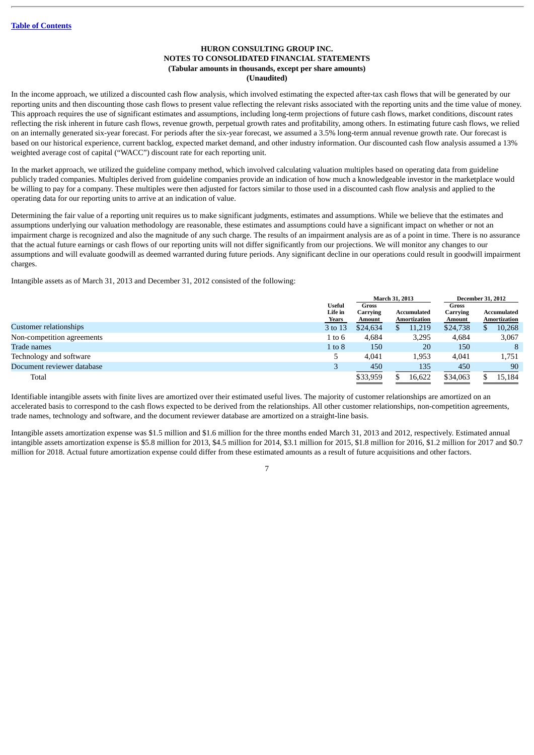In the income approach, we utilized a discounted cash flow analysis, which involved estimating the expected after-tax cash flows that will be generated by our reporting units and then discounting those cash flows to present value reflecting the relevant risks associated with the reporting units and the time value of money. This approach requires the use of significant estimates and assumptions, including long-term projections of future cash flows, market conditions, discount rates reflecting the risk inherent in future cash flows, revenue growth, perpetual growth rates and profitability, among others. In estimating future cash flows, we relied on an internally generated six-year forecast. For periods after the six-year forecast, we assumed a 3.5% long-term annual revenue growth rate. Our forecast is based on our historical experience, current backlog, expected market demand, and other industry information. Our discounted cash flow analysis assumed a 13% weighted average cost of capital ("WACC") discount rate for each reporting unit.

In the market approach, we utilized the guideline company method, which involved calculating valuation multiples based on operating data from guideline publicly traded companies. Multiples derived from guideline companies provide an indication of how much a knowledgeable investor in the marketplace would be willing to pay for a company. These multiples were then adjusted for factors similar to those used in a discounted cash flow analysis and applied to the operating data for our reporting units to arrive at an indication of value.

Determining the fair value of a reporting unit requires us to make significant judgments, estimates and assumptions. While we believe that the estimates and assumptions underlying our valuation methodology are reasonable, these estimates and assumptions could have a significant impact on whether or not an impairment charge is recognized and also the magnitude of any such charge. The results of an impairment analysis are as of a point in time. There is no assurance that the actual future earnings or cash flows of our reporting units will not differ significantly from our projections. We will monitor any changes to our assumptions and will evaluate goodwill as deemed warranted during future periods. Any significant decline in our operations could result in goodwill impairment charges.

Intangible assets as of March 31, 2013 and December 31, 2012 consisted of the following:

|                            |                                   | March 31, 2013              |                             | <b>December 31, 2012</b>    |  |                             |
|----------------------------|-----------------------------------|-----------------------------|-----------------------------|-----------------------------|--|-----------------------------|
|                            | <b>Useful</b><br>Life in<br>Years | Gross<br>Carrying<br>Amount | Accumulated<br>Amortization | Gross<br>Carrying<br>Amount |  | Accumulated<br>Amortization |
| Customer relationships     | 3 to 13                           | \$24,634                    | 11,219                      | \$24,738                    |  | 10,268                      |
| Non-competition agreements | 1 to 6                            | 4,684                       | 3,295                       | 4,684                       |  | 3,067                       |
| Trade names                | $1$ to $8$                        | 150                         | 20                          | 150                         |  | 8                           |
| Technology and software    | C                                 | 4.041                       | 1,953                       | 4,041                       |  | 1,751                       |
| Document reviewer database |                                   | 450                         | 135                         | 450                         |  | 90                          |
| Total                      |                                   | \$33,959                    | 16,622                      | \$34,063                    |  | 15,184                      |

Identifiable intangible assets with finite lives are amortized over their estimated useful lives. The majority of customer relationships are amortized on an accelerated basis to correspond to the cash flows expected to be derived from the relationships. All other customer relationships, non-competition agreements, trade names, technology and software, and the document reviewer database are amortized on a straight-line basis.

Intangible assets amortization expense was \$1.5 million and \$1.6 million for the three months ended March 31, 2013 and 2012, respectively. Estimated annual intangible assets amortization expense is \$5.8 million for 2013, \$4.5 million for 2014, \$3.1 million for 2015, \$1.8 million for 2016, \$1.2 million for 2017 and \$0.7 million for 2018. Actual future amortization expense could differ from these estimated amounts as a result of future acquisitions and other factors.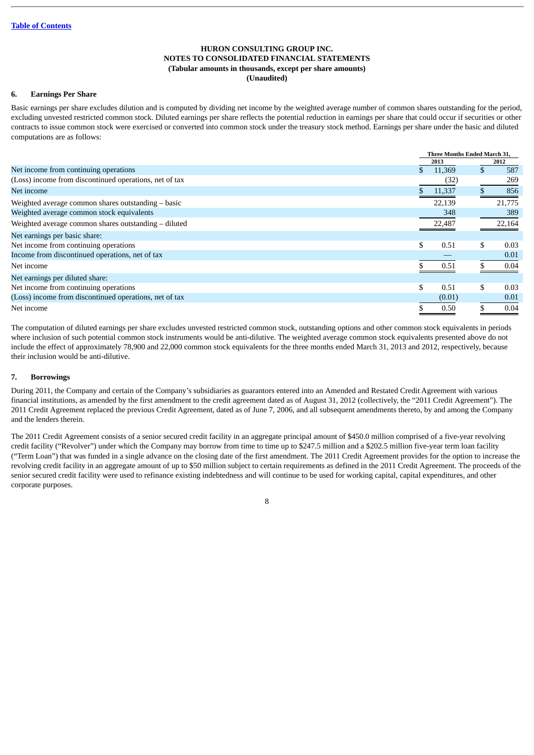### **6. Earnings Per Share**

Basic earnings per share excludes dilution and is computed by dividing net income by the weighted average number of common shares outstanding for the period, excluding unvested restricted common stock. Diluted earnings per share reflects the potential reduction in earnings per share that could occur if securities or other contracts to issue common stock were exercised or converted into common stock under the treasury stock method. Earnings per share under the basic and diluted computations are as follows:

|                                                        | Three Months Ended March 31, |        |  |        |
|--------------------------------------------------------|------------------------------|--------|--|--------|
|                                                        | 2013                         |        |  | 2012   |
| Net income from continuing operations                  |                              | 11.369 |  | 587    |
| (Loss) income from discontinued operations, net of tax |                              | (32)   |  | 269    |
| Net income                                             |                              | 11,337 |  | 856    |
| Weighted average common shares outstanding – basic     |                              | 22,139 |  | 21,775 |
| Weighted average common stock equivalents              |                              | 348    |  | 389    |
| Weighted average common shares outstanding - diluted   |                              | 22,487 |  | 22,164 |
| Net earnings per basic share:                          |                              |        |  |        |
| Net income from continuing operations                  | \$                           | 0.51   |  | 0.03   |
| Income from discontinued operations, net of tax        |                              |        |  | 0.01   |
| Net income                                             |                              | 0.51   |  | 0.04   |
| Net earnings per diluted share:                        |                              |        |  |        |
| Net income from continuing operations                  | \$                           | 0.51   |  | 0.03   |
| (Loss) income from discontinued operations, net of tax |                              | (0.01) |  | 0.01   |
| Net income                                             |                              | 0.50   |  | 0.04   |

The computation of diluted earnings per share excludes unvested restricted common stock, outstanding options and other common stock equivalents in periods where inclusion of such potential common stock instruments would be anti-dilutive. The weighted average common stock equivalents presented above do not include the effect of approximately 78,900 and 22,000 common stock equivalents for the three months ended March 31, 2013 and 2012, respectively, because their inclusion would be anti-dilutive.

#### **7. Borrowings**

During 2011, the Company and certain of the Company's subsidiaries as guarantors entered into an Amended and Restated Credit Agreement with various financial institutions, as amended by the first amendment to the credit agreement dated as of August 31, 2012 (collectively, the "2011 Credit Agreement"). The 2011 Credit Agreement replaced the previous Credit Agreement, dated as of June 7, 2006, and all subsequent amendments thereto, by and among the Company and the lenders therein.

The 2011 Credit Agreement consists of a senior secured credit facility in an aggregate principal amount of \$450.0 million comprised of a five-year revolving credit facility ("Revolver") under which the Company may borrow from time to time up to \$247.5 million and a \$202.5 million five-year term loan facility ("Term Loan") that was funded in a single advance on the closing date of the first amendment. The 2011 Credit Agreement provides for the option to increase the revolving credit facility in an aggregate amount of up to \$50 million subject to certain requirements as defined in the 2011 Credit Agreement. The proceeds of the senior secured credit facility were used to refinance existing indebtedness and will continue to be used for working capital, capital expenditures, and other corporate purposes.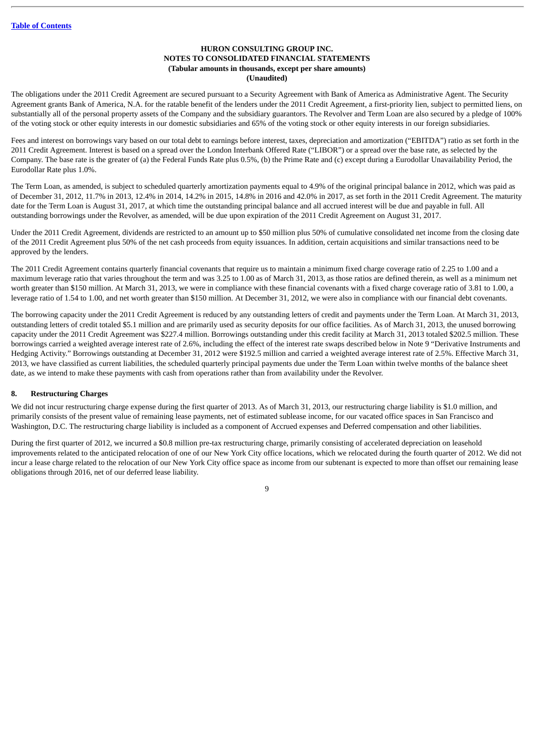The obligations under the 2011 Credit Agreement are secured pursuant to a Security Agreement with Bank of America as Administrative Agent. The Security Agreement grants Bank of America, N.A. for the ratable benefit of the lenders under the 2011 Credit Agreement, a first-priority lien, subject to permitted liens, on substantially all of the personal property assets of the Company and the subsidiary guarantors. The Revolver and Term Loan are also secured by a pledge of 100% of the voting stock or other equity interests in our domestic subsidiaries and 65% of the voting stock or other equity interests in our foreign subsidiaries.

Fees and interest on borrowings vary based on our total debt to earnings before interest, taxes, depreciation and amortization ("EBITDA") ratio as set forth in the 2011 Credit Agreement. Interest is based on a spread over the London Interbank Offered Rate ("LIBOR") or a spread over the base rate, as selected by the Company. The base rate is the greater of (a) the Federal Funds Rate plus 0.5%, (b) the Prime Rate and (c) except during a Eurodollar Unavailability Period, the Eurodollar Rate plus 1.0%.

The Term Loan, as amended, is subject to scheduled quarterly amortization payments equal to 4.9% of the original principal balance in 2012, which was paid as of December 31, 2012, 11.7% in 2013, 12.4% in 2014, 14.2% in 2015, 14.8% in 2016 and 42.0% in 2017, as set forth in the 2011 Credit Agreement. The maturity date for the Term Loan is August 31, 2017, at which time the outstanding principal balance and all accrued interest will be due and payable in full. All outstanding borrowings under the Revolver, as amended, will be due upon expiration of the 2011 Credit Agreement on August 31, 2017.

Under the 2011 Credit Agreement, dividends are restricted to an amount up to \$50 million plus 50% of cumulative consolidated net income from the closing date of the 2011 Credit Agreement plus 50% of the net cash proceeds from equity issuances. In addition, certain acquisitions and similar transactions need to be approved by the lenders.

The 2011 Credit Agreement contains quarterly financial covenants that require us to maintain a minimum fixed charge coverage ratio of 2.25 to 1.00 and a maximum leverage ratio that varies throughout the term and was 3.25 to 1.00 as of March 31, 2013, as those ratios are defined therein, as well as a minimum net worth greater than \$150 million. At March 31, 2013, we were in compliance with these financial covenants with a fixed charge coverage ratio of 3.81 to 1.00, a leverage ratio of 1.54 to 1.00, and net worth greater than \$150 million. At December 31, 2012, we were also in compliance with our financial debt covenants.

The borrowing capacity under the 2011 Credit Agreement is reduced by any outstanding letters of credit and payments under the Term Loan. At March 31, 2013, outstanding letters of credit totaled \$5.1 million and are primarily used as security deposits for our office facilities. As of March 31, 2013, the unused borrowing capacity under the 2011 Credit Agreement was \$227.4 million. Borrowings outstanding under this credit facility at March 31, 2013 totaled \$202.5 million. These borrowings carried a weighted average interest rate of 2.6%, including the effect of the interest rate swaps described below in Note 9 "Derivative Instruments and Hedging Activity." Borrowings outstanding at December 31, 2012 were \$192.5 million and carried a weighted average interest rate of 2.5%. Effective March 31, 2013, we have classified as current liabilities, the scheduled quarterly principal payments due under the Term Loan within twelve months of the balance sheet date, as we intend to make these payments with cash from operations rather than from availability under the Revolver.

### **8. Restructuring Charges**

We did not incur restructuring charge expense during the first quarter of 2013. As of March 31, 2013, our restructuring charge liability is \$1.0 million, and primarily consists of the present value of remaining lease payments, net of estimated sublease income, for our vacated office spaces in San Francisco and Washington, D.C. The restructuring charge liability is included as a component of Accrued expenses and Deferred compensation and other liabilities.

During the first quarter of 2012, we incurred a \$0.8 million pre-tax restructuring charge, primarily consisting of accelerated depreciation on leasehold improvements related to the anticipated relocation of one of our New York City office locations, which we relocated during the fourth quarter of 2012. We did not incur a lease charge related to the relocation of our New York City office space as income from our subtenant is expected to more than offset our remaining lease obligations through 2016, net of our deferred lease liability.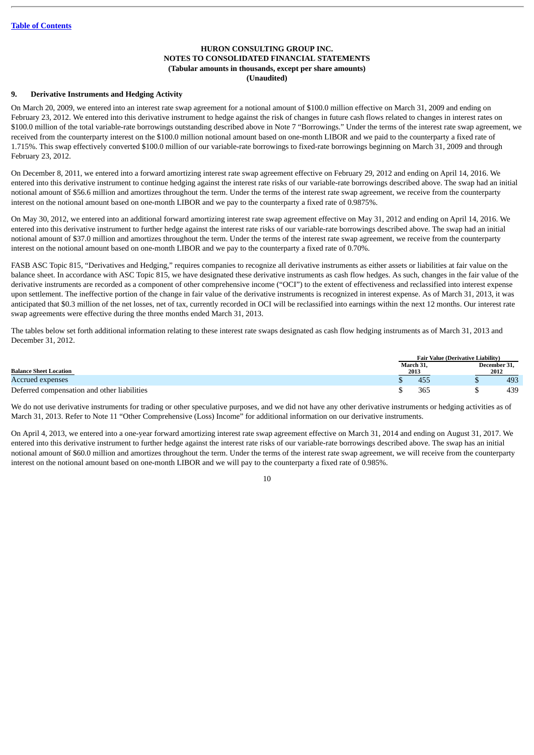#### **9. Derivative Instruments and Hedging Activity**

On March 20, 2009, we entered into an interest rate swap agreement for a notional amount of \$100.0 million effective on March 31, 2009 and ending on February 23, 2012. We entered into this derivative instrument to hedge against the risk of changes in future cash flows related to changes in interest rates on \$100.0 million of the total variable-rate borrowings outstanding described above in Note 7 "Borrowings." Under the terms of the interest rate swap agreement, we received from the counterparty interest on the \$100.0 million notional amount based on one-month LIBOR and we paid to the counterparty a fixed rate of 1.715%. This swap effectively converted \$100.0 million of our variable-rate borrowings to fixed-rate borrowings beginning on March 31, 2009 and through February 23, 2012.

On December 8, 2011, we entered into a forward amortizing interest rate swap agreement effective on February 29, 2012 and ending on April 14, 2016. We entered into this derivative instrument to continue hedging against the interest rate risks of our variable-rate borrowings described above. The swap had an initial notional amount of \$56.6 million and amortizes throughout the term. Under the terms of the interest rate swap agreement, we receive from the counterparty interest on the notional amount based on one-month LIBOR and we pay to the counterparty a fixed rate of 0.9875%.

On May 30, 2012, we entered into an additional forward amortizing interest rate swap agreement effective on May 31, 2012 and ending on April 14, 2016. We entered into this derivative instrument to further hedge against the interest rate risks of our variable-rate borrowings described above. The swap had an initial notional amount of \$37.0 million and amortizes throughout the term. Under the terms of the interest rate swap agreement, we receive from the counterparty interest on the notional amount based on one-month LIBOR and we pay to the counterparty a fixed rate of 0.70%.

FASB ASC Topic 815, "Derivatives and Hedging," requires companies to recognize all derivative instruments as either assets or liabilities at fair value on the balance sheet. In accordance with ASC Topic 815, we have designated these derivative instruments as cash flow hedges. As such, changes in the fair value of the derivative instruments are recorded as a component of other comprehensive income ("OCI") to the extent of effectiveness and reclassified into interest expense upon settlement. The ineffective portion of the change in fair value of the derivative instruments is recognized in interest expense. As of March 31, 2013, it was anticipated that \$0.3 million of the net losses, net of tax, currently recorded in OCI will be reclassified into earnings within the next 12 months. Our interest rate swap agreements were effective during the three months ended March 31, 2013.

The tables below set forth additional information relating to these interest rate swaps designated as cash flow hedging instruments as of March 31, 2013 and December 31, 2012.

|                                             | <b>Fair Value (Derivative Liability)</b> |   |              |  |
|---------------------------------------------|------------------------------------------|---|--------------|--|
|                                             | March 31,                                |   | December 31. |  |
| <b>Balance Sheet Location</b>               | 2013                                     |   | 2012         |  |
| Accrued expenses                            | 455                                      | w | 493          |  |
| Deferred compensation and other liabilities | 365                                      |   | 439          |  |

We do not use derivative instruments for trading or other speculative purposes, and we did not have any other derivative instruments or hedging activities as of March 31, 2013. Refer to Note 11 "Other Comprehensive (Loss) Income" for additional information on our derivative instruments.

On April 4, 2013, we entered into a one-year forward amortizing interest rate swap agreement effective on March 31, 2014 and ending on August 31, 2017. We entered into this derivative instrument to further hedge against the interest rate risks of our variable-rate borrowings described above. The swap has an initial notional amount of \$60.0 million and amortizes throughout the term. Under the terms of the interest rate swap agreement, we will receive from the counterparty interest on the notional amount based on one-month LIBOR and we will pay to the counterparty a fixed rate of 0.985%.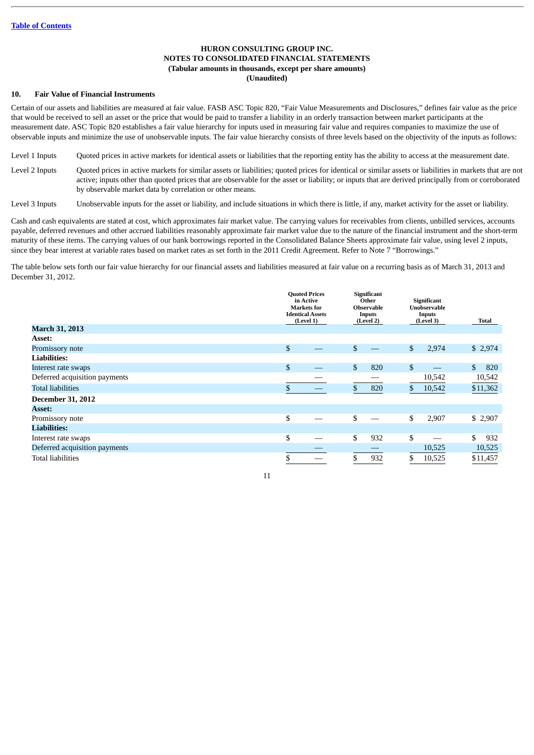### **10. Fair Value of Financial Instruments**

Certain of our assets and liabilities are measured at fair value. FASB ASC Topic 820, "Fair Value Measurements and Disclosures," defines fair value as the price that would be received to sell an asset or the price that would be paid to transfer a liability in an orderly transaction between market participants at the measurement date. ASC Topic 820 establishes a fair value hierarchy for inputs used in measuring fair value and requires companies to maximize the use of observable inputs and minimize the use of unobservable inputs. The fair value hierarchy consists of three levels based on the objectivity of the inputs as follows:

Level 1 Inputs Quoted prices in active markets for identical assets or liabilities that the reporting entity has the ability to access at the measurement date.

Level 2 Inputs Quoted prices in active markets for similar assets or liabilities; quoted prices for identical or similar assets or liabilities in markets that are not active; inputs other than quoted prices that are observable for the asset or liability; or inputs that are derived principally from or corroborated by observable market data by correlation or other means.

Level 3 Inputs Unobservable inputs for the asset or liability, and include situations in which there is little, if any, market activity for the asset or liability.

Cash and cash equivalents are stated at cost, which approximates fair market value. The carrying values for receivables from clients, unbilled services, accounts payable, deferred revenues and other accrued liabilities reasonably approximate fair market value due to the nature of the financial instrument and the short-term maturity of these items. The carrying values of our bank borrowings reported in the Consolidated Balance Sheets approximate fair value, using level 2 inputs, since they bear interest at variable rates based on market rates as set forth in the 2011 Credit Agreement. Refer to Note 7 "Borrowings."

The table below sets forth our fair value hierarchy for our financial assets and liabilities measured at fair value on a recurring basis as of March 31, 2013 and December 31, 2012.

|                               | <b>Quoted Prices</b><br>in Active<br><b>Markets</b> for<br><b>Identical Assets</b><br>(Level 1) |  | Significant<br>Other<br><b>Observable</b><br>Inputs<br>(Level 2) |     |                | Significant<br>Unobservable<br><b>Inputs</b><br>(Level 3) |    | Total    |
|-------------------------------|-------------------------------------------------------------------------------------------------|--|------------------------------------------------------------------|-----|----------------|-----------------------------------------------------------|----|----------|
| <b>March 31, 2013</b>         |                                                                                                 |  |                                                                  |     |                |                                                           |    |          |
| Asset:                        |                                                                                                 |  |                                                                  |     |                |                                                           |    |          |
| Promissory note               | $\mathbb{S}$                                                                                    |  | \$                                                               |     | $\mathfrak{S}$ | 2,974                                                     |    | \$2,974  |
| <b>Liabilities:</b>           |                                                                                                 |  |                                                                  |     |                |                                                           |    |          |
| Interest rate swaps           | \$                                                                                              |  | \$                                                               | 820 | $\mathbb{S}$   |                                                           | \$ | 820      |
| Deferred acquisition payments |                                                                                                 |  |                                                                  |     |                | 10,542                                                    |    | 10,542   |
| <b>Total liabilities</b>      |                                                                                                 |  |                                                                  | 820 | \$             | 10,542                                                    |    | \$11,362 |
| <b>December 31, 2012</b>      |                                                                                                 |  |                                                                  |     |                |                                                           |    |          |
| Asset:                        |                                                                                                 |  |                                                                  |     |                |                                                           |    |          |
| Promissory note               | \$                                                                                              |  | \$                                                               |     | \$             | 2,907                                                     |    | \$2,907  |
| <b>Liabilities:</b>           |                                                                                                 |  |                                                                  |     |                |                                                           |    |          |
| Interest rate swaps           | \$                                                                                              |  | \$                                                               | 932 | \$             |                                                           | \$ | 932      |
| Deferred acquisition payments |                                                                                                 |  |                                                                  |     |                | 10,525                                                    |    | 10,525   |
| <b>Total liabilities</b>      | \$                                                                                              |  |                                                                  | 932 | \$             | 10,525                                                    |    | \$11,457 |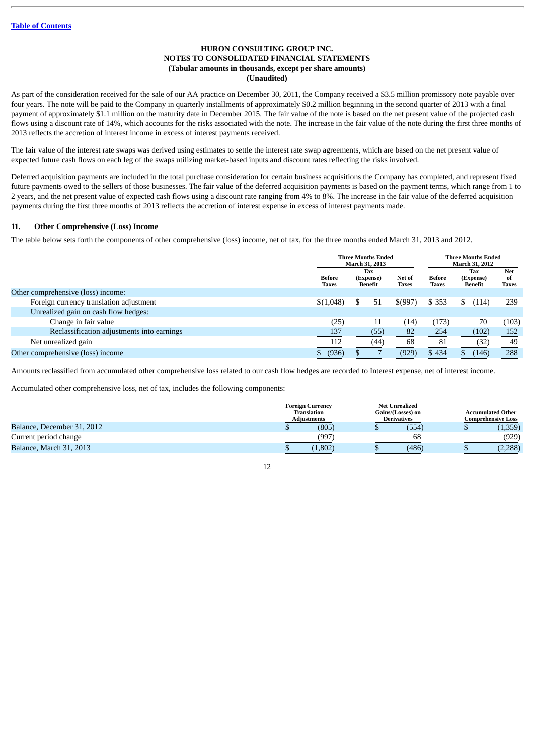As part of the consideration received for the sale of our AA practice on December 30, 2011, the Company received a \$3.5 million promissory note payable over four years. The note will be paid to the Company in quarterly installments of approximately \$0.2 million beginning in the second quarter of 2013 with a final payment of approximately \$1.1 million on the maturity date in December 2015. The fair value of the note is based on the net present value of the projected cash flows using a discount rate of 14%, which accounts for the risks associated with the note. The increase in the fair value of the note during the first three months of 2013 reflects the accretion of interest income in excess of interest payments received.

The fair value of the interest rate swaps was derived using estimates to settle the interest rate swap agreements, which are based on the net present value of expected future cash flows on each leg of the swaps utilizing market-based inputs and discount rates reflecting the risks involved.

Deferred acquisition payments are included in the total purchase consideration for certain business acquisitions the Company has completed, and represent fixed future payments owed to the sellers of those businesses. The fair value of the deferred acquisition payments is based on the payment terms, which range from 1 to 2 years, and the net present value of expected cash flows using a discount rate ranging from 4% to 8%. The increase in the fair value of the deferred acquisition payments during the first three months of 2013 reflects the accretion of interest expense in excess of interest payments made.

#### **11. Other Comprehensive (Loss) Income**

The table below sets forth the components of other comprehensive (loss) income, net of tax, for the three months ended March 31, 2013 and 2012.

|                                            | <b>Three Months Ended</b><br><b>March 31, 2013</b> |                                                |      |                               | <b>Three Months Ended</b><br>March 31, 2012 |                                  |       |
|--------------------------------------------|----------------------------------------------------|------------------------------------------------|------|-------------------------------|---------------------------------------------|----------------------------------|-------|
|                                            | <b>Before</b><br><b>Taxes</b>                      | Tax<br>(Expense)<br>Net of<br>Benefit<br>Taxes |      | <b>Before</b><br><b>Taxes</b> | <b>Tax</b><br>(Expense)<br>Benefit          | <b>Net</b><br>of<br><b>Taxes</b> |       |
| Other comprehensive (loss) income:         |                                                    |                                                |      |                               |                                             |                                  |       |
| Foreign currency translation adjustment    | \$(1,048)                                          |                                                | 51   | \$(997)                       | \$ 353                                      | S.<br>(114)                      | 239   |
| Unrealized gain on cash flow hedges:       |                                                    |                                                |      |                               |                                             |                                  |       |
| Change in fair value                       | (25)                                               |                                                | 11   | (14)                          | (173)                                       | 70                               | (103) |
| Reclassification adjustments into earnings | 137                                                |                                                | (55) | 82                            | 254                                         | (102)                            | 152   |
| Net unrealized gain                        | 112                                                |                                                | (44) | 68                            | 81                                          | (32                              | 49    |
| Other comprehensive (loss) income          | (936)                                              |                                                |      | (929)                         | \$434                                       | (146)                            | 288   |

Amounts reclassified from accumulated other comprehensive loss related to our cash flow hedges are recorded to Interest expense, net of interest income.

Accumulated other comprehensive loss, net of tax, includes the following components:

|                            | <b>Foreign Currency</b><br>Translation<br>Adjustments |         | <b>Net Unrealized</b><br>Gains/(Losses) on<br><b>Derivatives</b> |   | <b>Accumulated Other</b><br><b>Comprehensive Loss</b> |
|----------------------------|-------------------------------------------------------|---------|------------------------------------------------------------------|---|-------------------------------------------------------|
| Balance, December 31, 2012 |                                                       | (805)   | (554)                                                            | Ψ | (1,359)                                               |
| Current period change      |                                                       | (997)   | 68                                                               |   | (929)                                                 |
| Balance, March 31, 2013    |                                                       | (1,802) | (486)                                                            |   | (2, 288)                                              |

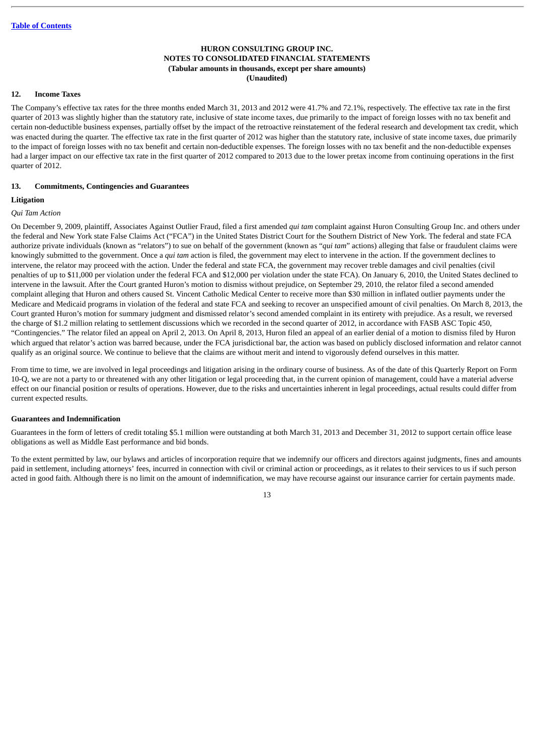#### **12. Income Taxes**

The Company's effective tax rates for the three months ended March 31, 2013 and 2012 were 41.7% and 72.1%, respectively. The effective tax rate in the first quarter of 2013 was slightly higher than the statutory rate, inclusive of state income taxes, due primarily to the impact of foreign losses with no tax benefit and certain non-deductible business expenses, partially offset by the impact of the retroactive reinstatement of the federal research and development tax credit, which was enacted during the quarter. The effective tax rate in the first quarter of 2012 was higher than the statutory rate, inclusive of state income taxes, due primarily to the impact of foreign losses with no tax benefit and certain non-deductible expenses. The foreign losses with no tax benefit and the non-deductible expenses had a larger impact on our effective tax rate in the first quarter of 2012 compared to 2013 due to the lower pretax income from continuing operations in the first quarter of 2012.

#### **13. Commitments, Contingencies and Guarantees**

#### **Litigation**

#### *Qui Tam Action*

On December 9, 2009, plaintiff, Associates Against Outlier Fraud, filed a first amended *qui tam* complaint against Huron Consulting Group Inc. and others under the federal and New York state False Claims Act ("FCA") in the United States District Court for the Southern District of New York. The federal and state FCA authorize private individuals (known as "relators") to sue on behalf of the government (known as "*qui tam*" actions) alleging that false or fraudulent claims were knowingly submitted to the government. Once a *qui tam* action is filed, the government may elect to intervene in the action. If the government declines to intervene, the relator may proceed with the action. Under the federal and state FCA, the government may recover treble damages and civil penalties (civil penalties of up to \$11,000 per violation under the federal FCA and \$12,000 per violation under the state FCA). On January 6, 2010, the United States declined to intervene in the lawsuit. After the Court granted Huron's motion to dismiss without prejudice, on September 29, 2010, the relator filed a second amended complaint alleging that Huron and others caused St. Vincent Catholic Medical Center to receive more than \$30 million in inflated outlier payments under the Medicare and Medicaid programs in violation of the federal and state FCA and seeking to recover an unspecified amount of civil penalties. On March 8, 2013, the Court granted Huron's motion for summary judgment and dismissed relator's second amended complaint in its entirety with prejudice. As a result, we reversed the charge of \$1.2 million relating to settlement discussions which we recorded in the second quarter of 2012, in accordance with FASB ASC Topic 450, "Contingencies." The relator filed an appeal on April 2, 2013. On April 8, 2013, Huron filed an appeal of an earlier denial of a motion to dismiss filed by Huron which argued that relator's action was barred because, under the FCA jurisdictional bar, the action was based on publicly disclosed information and relator cannot qualify as an original source. We continue to believe that the claims are without merit and intend to vigorously defend ourselves in this matter.

From time to time, we are involved in legal proceedings and litigation arising in the ordinary course of business. As of the date of this Quarterly Report on Form 10-Q, we are not a party to or threatened with any other litigation or legal proceeding that, in the current opinion of management, could have a material adverse effect on our financial position or results of operations. However, due to the risks and uncertainties inherent in legal proceedings, actual results could differ from current expected results.

#### **Guarantees and Indemnification**

Guarantees in the form of letters of credit totaling \$5.1 million were outstanding at both March 31, 2013 and December 31, 2012 to support certain office lease obligations as well as Middle East performance and bid bonds.

To the extent permitted by law, our bylaws and articles of incorporation require that we indemnify our officers and directors against judgments, fines and amounts paid in settlement, including attorneys' fees, incurred in connection with civil or criminal action or proceedings, as it relates to their services to us if such person acted in good faith. Although there is no limit on the amount of indemnification, we may have recourse against our insurance carrier for certain payments made.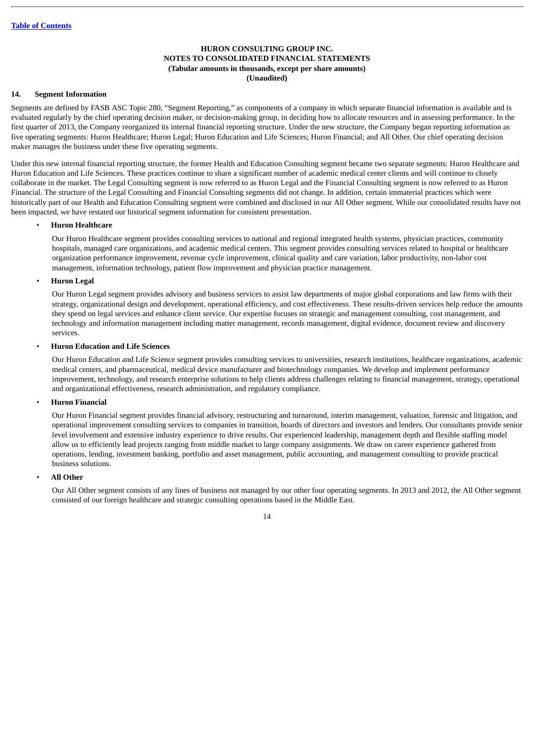### **14. Segment Information**

Segments are defined by FASB ASC Topic 280, "Segment Reporting," as components of a company in which separate financial information is available and is evaluated regularly by the chief operating decision maker, or decision-making group, in deciding how to allocate resources and in assessing performance. In the first quarter of 2013, the Company reorganized its internal financial reporting structure. Under the new structure, the Company began reporting information as five operating segments: Huron Healthcare; Huron Legal; Huron Education and Life Sciences; Huron Financial; and All Other. Our chief operating decision maker manages the business under these five operating segments.

Under this new internal financial reporting structure, the former Health and Education Consulting segment became two separate segments: Huron Healthcare and Huron Education and Life Sciences. These practices continue to share a significant number of academic medical center clients and will continue to closely collaborate in the market. The Legal Consulting segment is now referred to as Huron Legal and the Financial Consulting segment is now referred to as Huron Financial. The structure of the Legal Consulting and Financial Consulting segments did not change. In addition, certain immaterial practices which were historically part of our Health and Education Consulting segment were combined and disclosed in our All Other segment. While our consolidated results have not been impacted, we have restated our historical segment information for consistent presentation.

#### • **Huron Healthcare**

Our Huron Healthcare segment provides consulting services to national and regional integrated health systems, physician practices, community hospitals, managed care organizations, and academic medical centers. This segment provides consulting services related to hospital or healthcare organization performance improvement, revenue cycle improvement, clinical quality and care variation, labor productivity, non-labor cost management, information technology, patient flow improvement and physician practice management.

#### • **Huron Legal**

Our Huron Legal segment provides advisory and business services to assist law departments of major global corporations and law firms with their strategy, organizational design and development, operational efficiency, and cost effectiveness. These results-driven services help reduce the amounts they spend on legal services and enhance client service. Our expertise focuses on strategic and management consulting, cost management, and technology and information management including matter management, records management, digital evidence, document review and discovery services.

#### • **Huron Education and Life Sciences**

Our Huron Education and Life Science segment provides consulting services to universities, research institutions, healthcare organizations, academic medical centers, and pharmaceutical, medical device manufacturer and biotechnology companies. We develop and implement performance improvement, technology, and research enterprise solutions to help clients address challenges relating to financial management, strategy, operational and organizational effectiveness, research administration, and regulatory compliance.

### • **Huron Financial**

Our Huron Financial segment provides financial advisory, restructuring and turnaround, interim management, valuation, forensic and litigation, and operational improvement consulting services to companies in transition, boards of directors and investors and lenders. Our consultants provide senior level involvement and extensive industry experience to drive results. Our experienced leadership, management depth and flexible staffing model allow us to efficiently lead projects ranging from middle market to large company assignments. We draw on career experience gathered from operations, lending, investment banking, portfolio and asset management, public accounting, and management consulting to provide practical business solutions.

#### • **All Other**

Our All Other segment consists of any lines of business not managed by our other four operating segments. In 2013 and 2012, the All Other segment consisted of our foreign healthcare and strategic consulting operations based in the Middle East.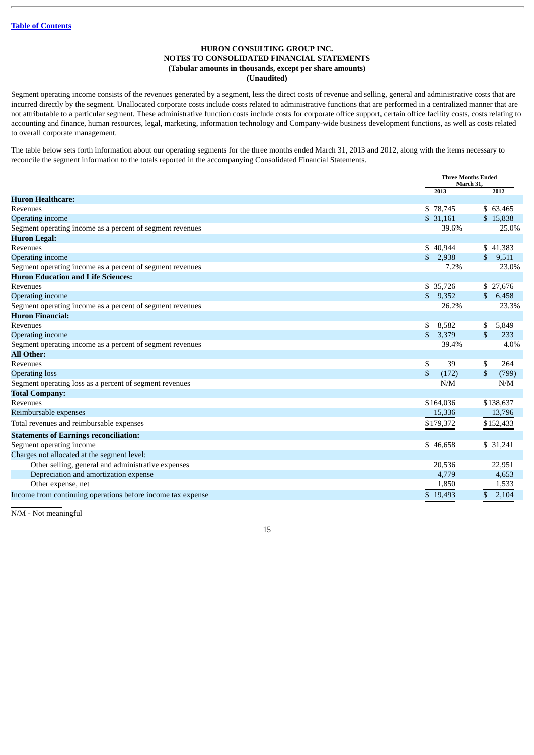Segment operating income consists of the revenues generated by a segment, less the direct costs of revenue and selling, general and administrative costs that are incurred directly by the segment. Unallocated corporate costs include costs related to administrative functions that are performed in a centralized manner that are not attributable to a particular segment. These administrative function costs include costs for corporate office support, certain office facility costs, costs relating to accounting and finance, human resources, legal, marketing, information technology and Company-wide business development functions, as well as costs related to overall corporate management.

The table below sets forth information about our operating segments for the three months ended March 31, 2013 and 2012, along with the items necessary to reconcile the segment information to the totals reported in the accompanying Consolidated Financial Statements.

|                                                             | <b>Three Months Ended</b><br>March 31, |           |  |
|-------------------------------------------------------------|----------------------------------------|-----------|--|
|                                                             | 2013                                   | 2012      |  |
| <b>Huron Healthcare:</b>                                    |                                        |           |  |
| Revenues                                                    | \$78,745                               | \$63,465  |  |
| Operating income                                            | \$31,161                               | \$15,838  |  |
| Segment operating income as a percent of segment revenues   | 39.6%                                  | 25.0%     |  |
| <b>Huron Legal:</b>                                         |                                        |           |  |
| Revenues                                                    | \$40,944                               | \$41,383  |  |
| Operating income                                            | \$2,938                                | \$9,511   |  |
| Segment operating income as a percent of segment revenues   | 7.2%                                   | 23.0%     |  |
| <b>Huron Education and Life Sciences:</b>                   |                                        |           |  |
| Revenues                                                    | \$35,726                               | \$27,676  |  |
| Operating income                                            | \$9,352<br>\$                          | 6,458     |  |
| Segment operating income as a percent of segment revenues   | 26.2%                                  | 23.3%     |  |
| <b>Huron Financial:</b>                                     |                                        |           |  |
| Revenues                                                    | \$<br>8,582<br>S.                      | 5,849     |  |
| Operating income                                            | \$<br>3,379<br>\$                      | 233       |  |
| Segment operating income as a percent of segment revenues   | 39.4%                                  | 4.0%      |  |
| <b>All Other:</b>                                           |                                        |           |  |
| Revenues                                                    | \$<br>\$<br>39                         | 264       |  |
| <b>Operating loss</b>                                       | \$<br>\$<br>(172)                      | (799)     |  |
| Segment operating loss as a percent of segment revenues     | N/M                                    | N/M       |  |
| <b>Total Company:</b>                                       |                                        |           |  |
| Revenues                                                    | \$164,036                              | \$138,637 |  |
| Reimbursable expenses                                       | 15,336                                 | 13,796    |  |
| Total revenues and reimbursable expenses                    | \$179,372                              | \$152,433 |  |
| <b>Statements of Earnings reconciliation:</b>               |                                        |           |  |
| Segment operating income                                    | \$46,658                               | \$ 31,241 |  |
| Charges not allocated at the segment level:                 |                                        |           |  |
| Other selling, general and administrative expenses          | 20,536                                 | 22,951    |  |
| Depreciation and amortization expense                       | 4,779                                  | 4,653     |  |
| Other expense, net                                          | 1,850                                  | 1,533     |  |
| Income from continuing operations before income tax expense | \$19,493<br>\$                         | 2,104     |  |

N/M - Not meaningful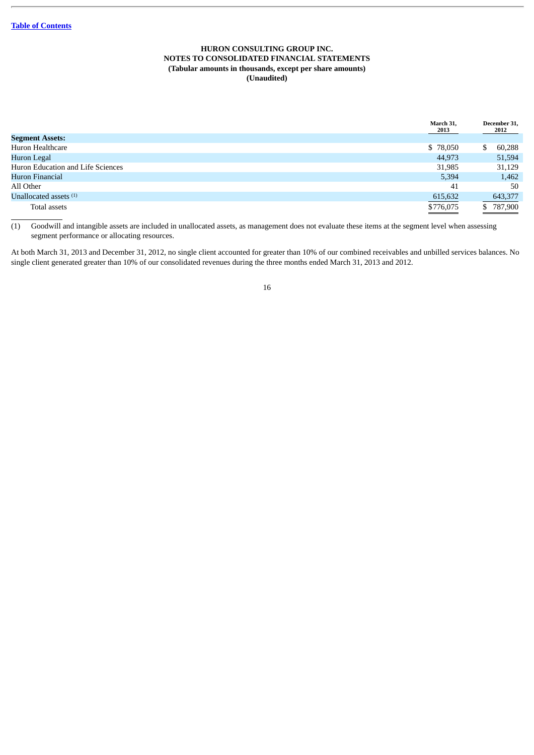|                                   | March 31,<br>2013 | December 31,<br>2012 |
|-----------------------------------|-------------------|----------------------|
| <b>Segment Assets:</b>            |                   |                      |
| Huron Healthcare                  | \$78,050          | 60,288<br>S          |
| Huron Legal                       | 44,973            | 51,594               |
| Huron Education and Life Sciences | 31,985            | 31,129               |
| Huron Financial                   | 5,394             | 1,462                |
| All Other                         | -41               | 50                   |
| Unallocated assets (1)            | 615,632           | 643,377              |
| Total assets                      | \$776,075         | 787,900<br>S.        |

(1) Goodwill and intangible assets are included in unallocated assets, as management does not evaluate these items at the segment level when assessing segment performance or allocating resources.

At both March 31, 2013 and December 31, 2012, no single client accounted for greater than 10% of our combined receivables and unbilled services balances. No single client generated greater than 10% of our consolidated revenues during the three months ended March 31, 2013 and 2012.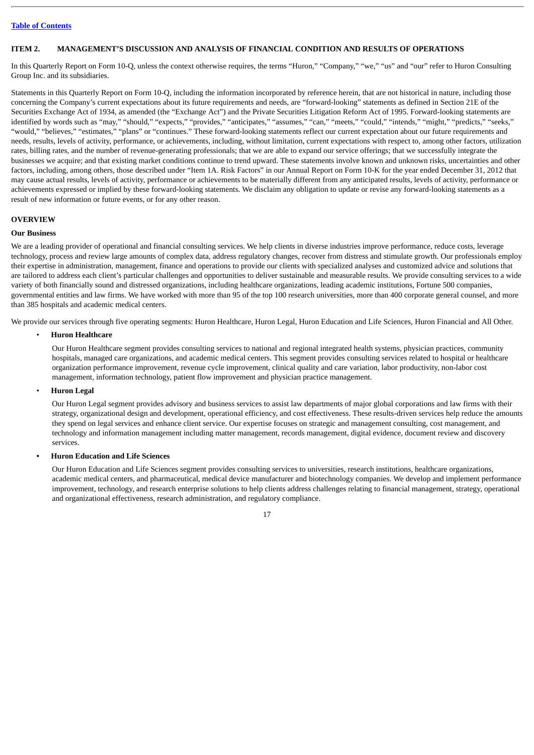#### <span id="page-18-0"></span>**ITEM 2. MANAGEMENT'S DISCUSSION AND ANALYSIS OF FINANCIAL CONDITION AND RESULTS OF OPERATIONS**

In this Quarterly Report on Form 10-Q, unless the context otherwise requires, the terms "Huron," "Company," "we," "us" and "our" refer to Huron Consulting Group Inc. and its subsidiaries.

Statements in this Quarterly Report on Form 10-Q, including the information incorporated by reference herein, that are not historical in nature, including those concerning the Company's current expectations about its future requirements and needs, are "forward-looking" statements as defined in Section 21E of the Securities Exchange Act of 1934, as amended (the "Exchange Act") and the Private Securities Litigation Reform Act of 1995. Forward-looking statements are identified by words such as "may," "should," "expects," "provides," "anticipates," "assumes," "can," "meets," "could," "intends," "might," "predicts," "seeks," "would," "believes," "estimates," "plans" or "continues." These forward-looking statements reflect our current expectation about our future requirements and needs, results, levels of activity, performance, or achievements, including, without limitation, current expectations with respect to, among other factors, utilization rates, billing rates, and the number of revenue-generating professionals; that we are able to expand our service offerings; that we successfully integrate the businesses we acquire; and that existing market conditions continue to trend upward. These statements involve known and unknown risks, uncertainties and other factors, including, among others, those described under "Item 1A. Risk Factors" in our Annual Report on Form 10-K for the year ended December 31, 2012 that may cause actual results, levels of activity, performance or achievements to be materially different from any anticipated results, levels of activity, performance or achievements expressed or implied by these forward-looking statements. We disclaim any obligation to update or revise any forward-looking statements as a result of new information or future events, or for any other reason.

#### **OVERVIEW**

#### **Our Business**

We are a leading provider of operational and financial consulting services. We help clients in diverse industries improve performance, reduce costs, leverage technology, process and review large amounts of complex data, address regulatory changes, recover from distress and stimulate growth. Our professionals employ their expertise in administration, management, finance and operations to provide our clients with specialized analyses and customized advice and solutions that are tailored to address each client's particular challenges and opportunities to deliver sustainable and measurable results. We provide consulting services to a wide variety of both financially sound and distressed organizations, including healthcare organizations, leading academic institutions, Fortune 500 companies, governmental entities and law firms. We have worked with more than 95 of the top 100 research universities, more than 400 corporate general counsel, and more than 385 hospitals and academic medical centers.

We provide our services through five operating segments: Huron Healthcare, Huron Legal, Huron Education and Life Sciences, Huron Financial and All Other.

#### • **Huron Healthcare**

Our Huron Healthcare segment provides consulting services to national and regional integrated health systems, physician practices, community hospitals, managed care organizations, and academic medical centers. This segment provides consulting services related to hospital or healthcare organization performance improvement, revenue cycle improvement, clinical quality and care variation, labor productivity, non-labor cost management, information technology, patient flow improvement and physician practice management.

#### • **Huron Legal**

Our Huron Legal segment provides advisory and business services to assist law departments of major global corporations and law firms with their strategy, organizational design and development, operational efficiency, and cost effectiveness. These results-driven services help reduce the amounts they spend on legal services and enhance client service. Our expertise focuses on strategic and management consulting, cost management, and technology and information management including matter management, records management, digital evidence, document review and discovery services.

#### **• Huron Education and Life Sciences**

Our Huron Education and Life Sciences segment provides consulting services to universities, research institutions, healthcare organizations, academic medical centers, and pharmaceutical, medical device manufacturer and biotechnology companies. We develop and implement performance improvement, technology, and research enterprise solutions to help clients address challenges relating to financial management, strategy, operational and organizational effectiveness, research administration, and regulatory compliance.

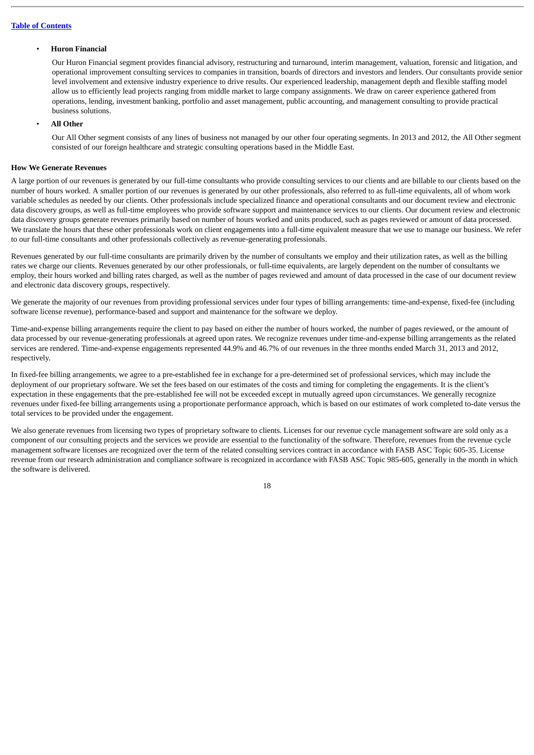#### • **Huron Financial**

Our Huron Financial segment provides financial advisory, restructuring and turnaround, interim management, valuation, forensic and litigation, and operational improvement consulting services to companies in transition, boards of directors and investors and lenders. Our consultants provide senior level involvement and extensive industry experience to drive results. Our experienced leadership, management depth and flexible staffing model allow us to efficiently lead projects ranging from middle market to large company assignments. We draw on career experience gathered from operations, lending, investment banking, portfolio and asset management, public accounting, and management consulting to provide practical business solutions.

#### • **All Other**

Our All Other segment consists of any lines of business not managed by our other four operating segments. In 2013 and 2012, the All Other segment consisted of our foreign healthcare and strategic consulting operations based in the Middle East.

#### **How We Generate Revenues**

A large portion of our revenues is generated by our full-time consultants who provide consulting services to our clients and are billable to our clients based on the number of hours worked. A smaller portion of our revenues is generated by our other professionals, also referred to as full-time equivalents, all of whom work variable schedules as needed by our clients. Other professionals include specialized finance and operational consultants and our document review and electronic data discovery groups, as well as full-time employees who provide software support and maintenance services to our clients. Our document review and electronic data discovery groups generate revenues primarily based on number of hours worked and units produced, such as pages reviewed or amount of data processed. We translate the hours that these other professionals work on client engagements into a full-time equivalent measure that we use to manage our business. We refer to our full-time consultants and other professionals collectively as revenue-generating professionals.

Revenues generated by our full-time consultants are primarily driven by the number of consultants we employ and their utilization rates, as well as the billing rates we charge our clients. Revenues generated by our other professionals, or full-time equivalents, are largely dependent on the number of consultants we employ, their hours worked and billing rates charged, as well as the number of pages reviewed and amount of data processed in the case of our document review and electronic data discovery groups, respectively.

We generate the majority of our revenues from providing professional services under four types of billing arrangements: time-and-expense, fixed-fee (including software license revenue), performance-based and support and maintenance for the software we deploy.

Time-and-expense billing arrangements require the client to pay based on either the number of hours worked, the number of pages reviewed, or the amount of data processed by our revenue-generating professionals at agreed upon rates. We recognize revenues under time-and-expense billing arrangements as the related services are rendered. Time-and-expense engagements represented 44.9% and 46.7% of our revenues in the three months ended March 31, 2013 and 2012, respectively.

In fixed-fee billing arrangements, we agree to a pre-established fee in exchange for a pre-determined set of professional services, which may include the deployment of our proprietary software. We set the fees based on our estimates of the costs and timing for completing the engagements. It is the client's expectation in these engagements that the pre-established fee will not be exceeded except in mutually agreed upon circumstances. We generally recognize revenues under fixed-fee billing arrangements using a proportionate performance approach, which is based on our estimates of work completed to-date versus the total services to be provided under the engagement.

We also generate revenues from licensing two types of proprietary software to clients. Licenses for our revenue cycle management software are sold only as a component of our consulting projects and the services we provide are essential to the functionality of the software. Therefore, revenues from the revenue cycle management software licenses are recognized over the term of the related consulting services contract in accordance with FASB ASC Topic 605-35. License revenue from our research administration and compliance software is recognized in accordance with FASB ASC Topic 985-605, generally in the month in which the software is delivered.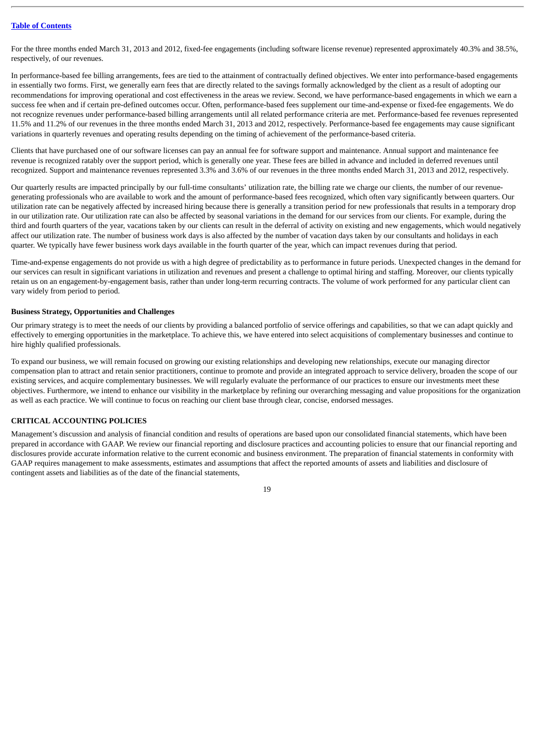For the three months ended March 31, 2013 and 2012, fixed-fee engagements (including software license revenue) represented approximately 40.3% and 38.5%, respectively, of our revenues.

In performance-based fee billing arrangements, fees are tied to the attainment of contractually defined objectives. We enter into performance-based engagements in essentially two forms. First, we generally earn fees that are directly related to the savings formally acknowledged by the client as a result of adopting our recommendations for improving operational and cost effectiveness in the areas we review. Second, we have performance-based engagements in which we earn a success fee when and if certain pre-defined outcomes occur. Often, performance-based fees supplement our time-and-expense or fixed-fee engagements. We do not recognize revenues under performance-based billing arrangements until all related performance criteria are met. Performance-based fee revenues represented 11.5% and 11.2% of our revenues in the three months ended March 31, 2013 and 2012, respectively. Performance-based fee engagements may cause significant variations in quarterly revenues and operating results depending on the timing of achievement of the performance-based criteria.

Clients that have purchased one of our software licenses can pay an annual fee for software support and maintenance. Annual support and maintenance fee revenue is recognized ratably over the support period, which is generally one year. These fees are billed in advance and included in deferred revenues until recognized. Support and maintenance revenues represented 3.3% and 3.6% of our revenues in the three months ended March 31, 2013 and 2012, respectively.

Our quarterly results are impacted principally by our full-time consultants' utilization rate, the billing rate we charge our clients, the number of our revenuegenerating professionals who are available to work and the amount of performance-based fees recognized, which often vary significantly between quarters. Our utilization rate can be negatively affected by increased hiring because there is generally a transition period for new professionals that results in a temporary drop in our utilization rate. Our utilization rate can also be affected by seasonal variations in the demand for our services from our clients. For example, during the third and fourth quarters of the year, vacations taken by our clients can result in the deferral of activity on existing and new engagements, which would negatively affect our utilization rate. The number of business work days is also affected by the number of vacation days taken by our consultants and holidays in each quarter. We typically have fewer business work days available in the fourth quarter of the year, which can impact revenues during that period.

Time-and-expense engagements do not provide us with a high degree of predictability as to performance in future periods. Unexpected changes in the demand for our services can result in significant variations in utilization and revenues and present a challenge to optimal hiring and staffing. Moreover, our clients typically retain us on an engagement-by-engagement basis, rather than under long-term recurring contracts. The volume of work performed for any particular client can vary widely from period to period.

#### **Business Strategy, Opportunities and Challenges**

Our primary strategy is to meet the needs of our clients by providing a balanced portfolio of service offerings and capabilities, so that we can adapt quickly and effectively to emerging opportunities in the marketplace. To achieve this, we have entered into select acquisitions of complementary businesses and continue to hire highly qualified professionals.

To expand our business, we will remain focused on growing our existing relationships and developing new relationships, execute our managing director compensation plan to attract and retain senior practitioners, continue to promote and provide an integrated approach to service delivery, broaden the scope of our existing services, and acquire complementary businesses. We will regularly evaluate the performance of our practices to ensure our investments meet these objectives. Furthermore, we intend to enhance our visibility in the marketplace by refining our overarching messaging and value propositions for the organization as well as each practice. We will continue to focus on reaching our client base through clear, concise, endorsed messages.

### **CRITICAL ACCOUNTING POLICIES**

Management's discussion and analysis of financial condition and results of operations are based upon our consolidated financial statements, which have been prepared in accordance with GAAP. We review our financial reporting and disclosure practices and accounting policies to ensure that our financial reporting and disclosures provide accurate information relative to the current economic and business environment. The preparation of financial statements in conformity with GAAP requires management to make assessments, estimates and assumptions that affect the reported amounts of assets and liabilities and disclosure of contingent assets and liabilities as of the date of the financial statements,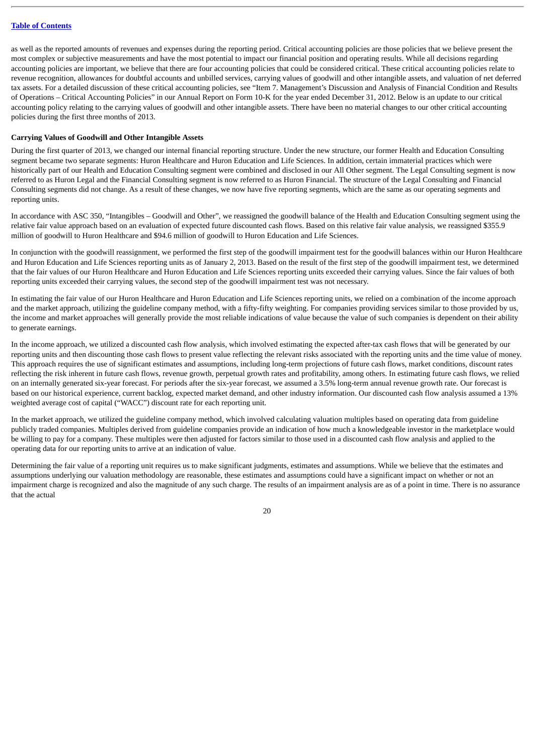as well as the reported amounts of revenues and expenses during the reporting period. Critical accounting policies are those policies that we believe present the most complex or subjective measurements and have the most potential to impact our financial position and operating results. While all decisions regarding accounting policies are important, we believe that there are four accounting policies that could be considered critical. These critical accounting policies relate to revenue recognition, allowances for doubtful accounts and unbilled services, carrying values of goodwill and other intangible assets, and valuation of net deferred tax assets. For a detailed discussion of these critical accounting policies, see "Item 7. Management's Discussion and Analysis of Financial Condition and Results of Operations – Critical Accounting Policies" in our Annual Report on Form 10-K for the year ended December 31, 2012. Below is an update to our critical accounting policy relating to the carrying values of goodwill and other intangible assets. There have been no material changes to our other critical accounting policies during the first three months of 2013.

#### **Carrying Values of Goodwill and Other Intangible Assets**

During the first quarter of 2013, we changed our internal financial reporting structure. Under the new structure, our former Health and Education Consulting segment became two separate segments: Huron Healthcare and Huron Education and Life Sciences. In addition, certain immaterial practices which were historically part of our Health and Education Consulting segment were combined and disclosed in our All Other segment. The Legal Consulting segment is now referred to as Huron Legal and the Financial Consulting segment is now referred to as Huron Financial. The structure of the Legal Consulting and Financial Consulting segments did not change. As a result of these changes, we now have five reporting segments, which are the same as our operating segments and reporting units.

In accordance with ASC 350, "Intangibles – Goodwill and Other", we reassigned the goodwill balance of the Health and Education Consulting segment using the relative fair value approach based on an evaluation of expected future discounted cash flows. Based on this relative fair value analysis, we reassigned \$355.9 million of goodwill to Huron Healthcare and \$94.6 million of goodwill to Huron Education and Life Sciences.

In conjunction with the goodwill reassignment, we performed the first step of the goodwill impairment test for the goodwill balances within our Huron Healthcare and Huron Education and Life Sciences reporting units as of January 2, 2013. Based on the result of the first step of the goodwill impairment test, we determined that the fair values of our Huron Healthcare and Huron Education and Life Sciences reporting units exceeded their carrying values. Since the fair values of both reporting units exceeded their carrying values, the second step of the goodwill impairment test was not necessary.

In estimating the fair value of our Huron Healthcare and Huron Education and Life Sciences reporting units, we relied on a combination of the income approach and the market approach, utilizing the guideline company method, with a fifty-fifty weighting. For companies providing services similar to those provided by us, the income and market approaches will generally provide the most reliable indications of value because the value of such companies is dependent on their ability to generate earnings.

In the income approach, we utilized a discounted cash flow analysis, which involved estimating the expected after-tax cash flows that will be generated by our reporting units and then discounting those cash flows to present value reflecting the relevant risks associated with the reporting units and the time value of money. This approach requires the use of significant estimates and assumptions, including long-term projections of future cash flows, market conditions, discount rates reflecting the risk inherent in future cash flows, revenue growth, perpetual growth rates and profitability, among others. In estimating future cash flows, we relied on an internally generated six-year forecast. For periods after the six-year forecast, we assumed a 3.5% long-term annual revenue growth rate. Our forecast is based on our historical experience, current backlog, expected market demand, and other industry information. Our discounted cash flow analysis assumed a 13% weighted average cost of capital ("WACC") discount rate for each reporting unit.

In the market approach, we utilized the guideline company method, which involved calculating valuation multiples based on operating data from guideline publicly traded companies. Multiples derived from guideline companies provide an indication of how much a knowledgeable investor in the marketplace would be willing to pay for a company. These multiples were then adjusted for factors similar to those used in a discounted cash flow analysis and applied to the operating data for our reporting units to arrive at an indication of value.

Determining the fair value of a reporting unit requires us to make significant judgments, estimates and assumptions. While we believe that the estimates and assumptions underlying our valuation methodology are reasonable, these estimates and assumptions could have a significant impact on whether or not an impairment charge is recognized and also the magnitude of any such charge. The results of an impairment analysis are as of a point in time. There is no assurance that the actual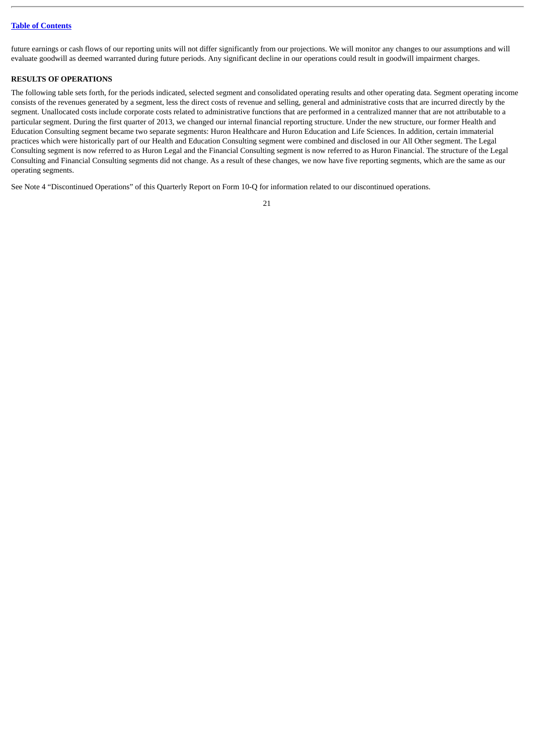future earnings or cash flows of our reporting units will not differ significantly from our projections. We will monitor any changes to our assumptions and will evaluate goodwill as deemed warranted during future periods. Any significant decline in our operations could result in goodwill impairment charges.

#### **RESULTS OF OPERATIONS**

The following table sets forth, for the periods indicated, selected segment and consolidated operating results and other operating data. Segment operating income consists of the revenues generated by a segment, less the direct costs of revenue and selling, general and administrative costs that are incurred directly by the segment. Unallocated costs include corporate costs related to administrative functions that are performed in a centralized manner that are not attributable to a particular segment. During the first quarter of 2013, we changed our internal financial reporting structure. Under the new structure, our former Health and Education Consulting segment became two separate segments: Huron Healthcare and Huron Education and Life Sciences. In addition, certain immaterial practices which were historically part of our Health and Education Consulting segment were combined and disclosed in our All Other segment. The Legal Consulting segment is now referred to as Huron Legal and the Financial Consulting segment is now referred to as Huron Financial. The structure of the Legal Consulting and Financial Consulting segments did not change. As a result of these changes, we now have five reporting segments, which are the same as our operating segments.

See Note 4 "Discontinued Operations" of this Quarterly Report on Form 10-Q for information related to our discontinued operations.

| ï<br>۰. |  |
|---------|--|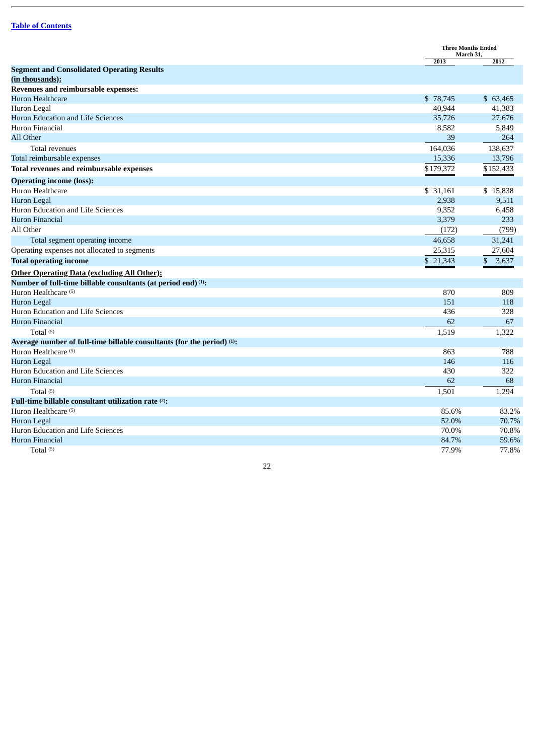|                                                                        |           | <b>Three Months Ended</b><br>March 31, |
|------------------------------------------------------------------------|-----------|----------------------------------------|
|                                                                        | 2013      | 2012                                   |
| <b>Segment and Consolidated Operating Results</b>                      |           |                                        |
| (in thousands):                                                        |           |                                        |
| Revenues and reimbursable expenses:                                    |           |                                        |
| Huron Healthcare                                                       | \$78,745  | \$ 63,465                              |
| Huron Legal                                                            | 40,944    | 41,383                                 |
| Huron Education and Life Sciences                                      | 35,726    | 27,676                                 |
| Huron Financial                                                        | 8,582     | 5,849                                  |
| All Other                                                              | 39        | 264                                    |
| Total revenues                                                         | 164,036   | 138,637                                |
| Total reimbursable expenses                                            | 15,336    | 13,796                                 |
| <b>Total revenues and reimbursable expenses</b>                        | \$179,372 | \$152,433                              |
| <b>Operating income (loss):</b>                                        |           |                                        |
| Huron Healthcare                                                       | \$31,161  | \$15,838                               |
| <b>Huron Legal</b>                                                     | 2,938     | 9,511                                  |
| Huron Education and Life Sciences                                      | 9,352     | 6,458                                  |
| <b>Huron Financial</b>                                                 | 3,379     | 233                                    |
| All Other                                                              | (172)     | (799)                                  |
| Total segment operating income                                         | 46,658    | 31,241                                 |
| Operating expenses not allocated to segments                           | 25,315    | 27,604                                 |
| <b>Total operating income</b>                                          | \$21,343  | \$<br>3,637                            |
| <b>Other Operating Data (excluding All Other):</b>                     |           |                                        |
| Number of full-time billable consultants (at period end) (1):          |           |                                        |
| Huron Healthcare (5)                                                   | 870       | 809                                    |
| <b>Huron Legal</b>                                                     | 151       | 118                                    |
| Huron Education and Life Sciences                                      | 436       | 328                                    |
| Huron Financial                                                        | 62        | 67                                     |
| Total <sup>(5)</sup>                                                   | 1,519     | 1,322                                  |
| Average number of full-time billable consultants (for the period) (1): |           |                                        |
| Huron Healthcare (5)                                                   | 863       | 788                                    |
| <b>Huron Legal</b>                                                     | 146       | 116                                    |
| Huron Education and Life Sciences                                      | 430       | 322                                    |
| Huron Financial                                                        | 62        | 68                                     |
| Total $(5)$                                                            | 1,501     | 1,294                                  |
| Full-time billable consultant utilization rate (2):                    |           |                                        |
| Huron Healthcare <sup>(5)</sup>                                        | 85.6%     | 83.2%                                  |
| <b>Huron Legal</b>                                                     | 52.0%     | 70.7%                                  |
| Huron Education and Life Sciences                                      | 70.0%     | 70.8%                                  |
| Huron Financial                                                        | 84.7%     | 59.6%                                  |
| Total $(5)$                                                            | 77.9%     | 77.8%                                  |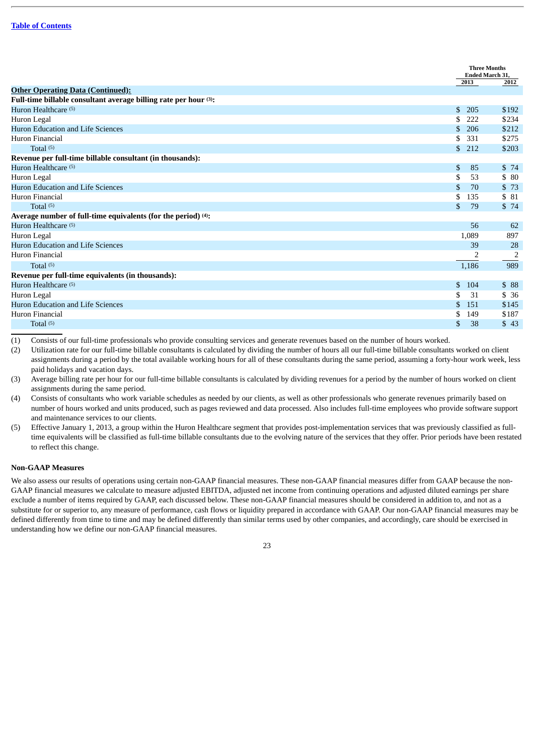|                                                                                                              |                | <b>Three Months</b><br>Ended March 31, |
|--------------------------------------------------------------------------------------------------------------|----------------|----------------------------------------|
|                                                                                                              | 2013           | 2012                                   |
| <b>Other Operating Data (Continued):</b><br>Full-time billable consultant average billing rate per hour (3): |                |                                        |
| Huron Healthcare <sup>(5)</sup>                                                                              | \$<br>205      | \$192                                  |
| Huron Legal                                                                                                  | 222<br>\$      | \$234                                  |
| Huron Education and Life Sciences                                                                            | \$<br>206      | \$212                                  |
| Huron Financial                                                                                              | 331<br>\$      | \$275                                  |
| Total $(5)$                                                                                                  | \$<br>212      | \$203                                  |
| Revenue per full-time billable consultant (in thousands):                                                    |                |                                        |
| Huron Healthcare <sup>(5)</sup>                                                                              | \$<br>85       | \$74                                   |
| Huron Legal                                                                                                  | \$<br>53       | \$80                                   |
| Huron Education and Life Sciences                                                                            | \$<br>70       | \$73                                   |
| Huron Financial                                                                                              | \$<br>135      | \$81                                   |
| Total $(5)$                                                                                                  | \$<br>79       | \$74                                   |
| Average number of full-time equivalents (for the period) (4):                                                |                |                                        |
| Huron Healthcare <sup>(5)</sup>                                                                              | 56             | 62                                     |
| Huron Legal                                                                                                  | 1,089          | 897                                    |
| Huron Education and Life Sciences                                                                            | 39             | 28                                     |
| Huron Financial                                                                                              | $\overline{2}$ | $\overline{2}$                         |
| Total $(5)$                                                                                                  | 1,186          | 989                                    |
| Revenue per full-time equivalents (in thousands):                                                            |                |                                        |
| Huron Healthcare (5)                                                                                         | \$<br>104      | \$88                                   |
| Huron Legal                                                                                                  | 31<br>\$       | \$36                                   |
| Huron Education and Life Sciences                                                                            | \$<br>151      | \$145                                  |
| Huron Financial                                                                                              | \$<br>149      | \$187                                  |
| Total $(5)$                                                                                                  | \$<br>38       | \$43                                   |
|                                                                                                              |                |                                        |

(1) Consists of our full-time professionals who provide consulting services and generate revenues based on the number of hours worked.

(2) Utilization rate for our full-time billable consultants is calculated by dividing the number of hours all our full-time billable consultants worked on client assignments during a period by the total available working hours for all of these consultants during the same period, assuming a forty-hour work week, less paid holidays and vacation days.

(3) Average billing rate per hour for our full-time billable consultants is calculated by dividing revenues for a period by the number of hours worked on client assignments during the same period.

(4) Consists of consultants who work variable schedules as needed by our clients, as well as other professionals who generate revenues primarily based on number of hours worked and units produced, such as pages reviewed and data processed. Also includes full-time employees who provide software support and maintenance services to our clients.

(5) Effective January 1, 2013, a group within the Huron Healthcare segment that provides post-implementation services that was previously classified as fulltime equivalents will be classified as full-time billable consultants due to the evolving nature of the services that they offer. Prior periods have been restated to reflect this change.

### **Non-GAAP Measures**

We also assess our results of operations using certain non-GAAP financial measures. These non-GAAP financial measures differ from GAAP because the non-GAAP financial measures we calculate to measure adjusted EBITDA, adjusted net income from continuing operations and adjusted diluted earnings per share exclude a number of items required by GAAP, each discussed below. These non-GAAP financial measures should be considered in addition to, and not as a substitute for or superior to, any measure of performance, cash flows or liquidity prepared in accordance with GAAP. Our non-GAAP financial measures may be defined differently from time to time and may be defined differently than similar terms used by other companies, and accordingly, care should be exercised in understanding how we define our non-GAAP financial measures.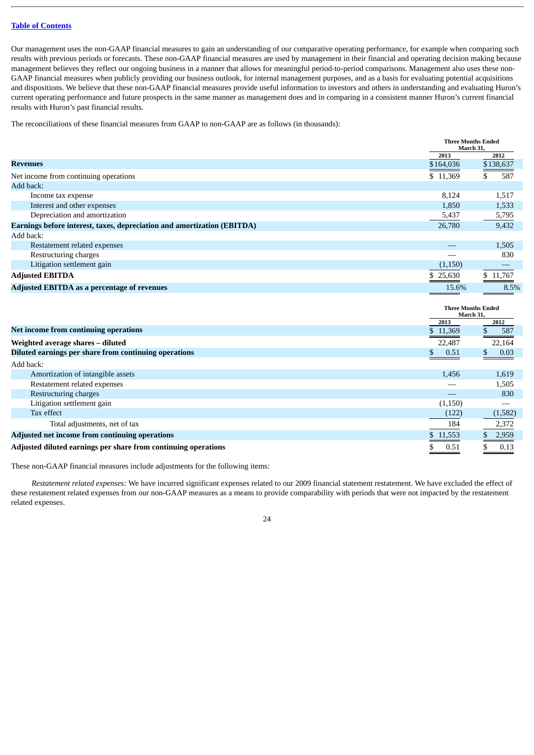Our management uses the non-GAAP financial measures to gain an understanding of our comparative operating performance, for example when comparing such results with previous periods or forecasts. These non-GAAP financial measures are used by management in their financial and operating decision making because management believes they reflect our ongoing business in a manner that allows for meaningful period-to-period comparisons. Management also uses these non-GAAP financial measures when publicly providing our business outlook, for internal management purposes, and as a basis for evaluating potential acquisitions and dispositions. We believe that these non-GAAP financial measures provide useful information to investors and others in understanding and evaluating Huron's current operating performance and future prospects in the same manner as management does and in comparing in a consistent manner Huron's current financial results with Huron's past financial results.

The reconciliations of these financial measures from GAAP to non-GAAP are as follows (in thousands):

|                                                                         |           | <b>Three Months Ended</b><br>March 31, |
|-------------------------------------------------------------------------|-----------|----------------------------------------|
|                                                                         | 2013      | 2012                                   |
| <b>Revenues</b>                                                         | \$164,036 | \$138,637                              |
| Net income from continuing operations                                   | \$11,369  | 587                                    |
| Add back:                                                               |           |                                        |
| Income tax expense                                                      | 8.124     | 1,517                                  |
| Interest and other expenses                                             | 1,850     | 1,533                                  |
| Depreciation and amortization                                           | 5,437     | 5,795                                  |
| Earnings before interest, taxes, depreciation and amortization (EBITDA) | 26,780    | 9,432                                  |
|                                                                         |           |                                        |

| Add back:                                   |          |          |
|---------------------------------------------|----------|----------|
| Restatement related expenses                |          | 1,505    |
| Restructuring charges                       |          | 830      |
| Litigation settlement gain                  | (1,150)  |          |
| <b>Adjusted EBITDA</b>                      | \$25,630 | \$11,767 |
| Adjusted EBITDA as a percentage of revenues | 15.6%    | 8.5%     |

|                                                                | <b>Three Months Ended</b><br>March 31, |         |
|----------------------------------------------------------------|----------------------------------------|---------|
|                                                                | 2013                                   | 2012    |
| Net income from continuing operations                          | \$11,369                               | 587     |
| Weighted average shares - diluted                              | 22,487                                 | 22,164  |
| Diluted earnings per share from continuing operations          | 0.51                                   | 0.03    |
| Add back:                                                      |                                        |         |
| Amortization of intangible assets                              | 1,456                                  | 1,619   |
| Restatement related expenses                                   |                                        | 1,505   |
| Restructuring charges                                          |                                        | 830     |
| Litigation settlement gain                                     | (1,150)                                |         |
| Tax effect                                                     | (122)                                  | (1,582) |
| Total adjustments, net of tax                                  | 184                                    | 2,372   |
| Adjusted net income from continuing operations                 | \$11,553                               | 2,959   |
| Adjusted diluted earnings per share from continuing operations | 0.51                                   | 0.13    |

These non-GAAP financial measures include adjustments for the following items:

*Restatement related expenses:* We have incurred significant expenses related to our 2009 financial statement restatement. We have excluded the effect of these restatement related expenses from our non-GAAP measures as a means to provide comparability with periods that were not impacted by the restatement related expenses.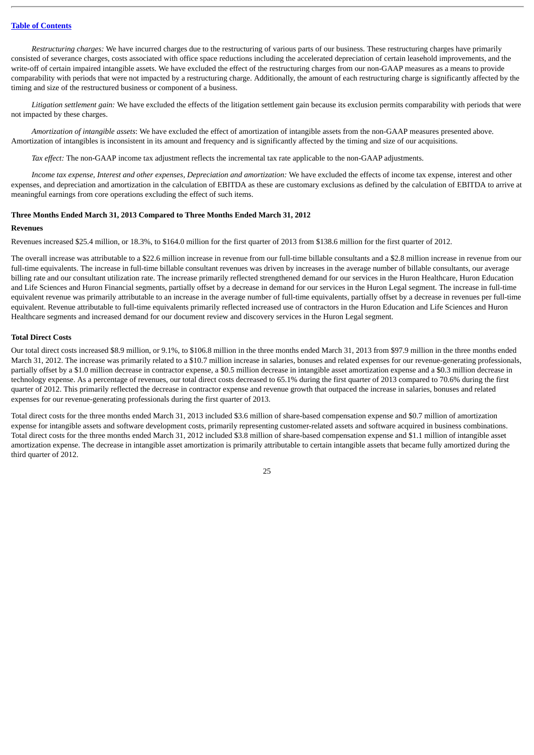*Restructuring charges:* We have incurred charges due to the restructuring of various parts of our business. These restructuring charges have primarily consisted of severance charges, costs associated with office space reductions including the accelerated depreciation of certain leasehold improvements, and the write-off of certain impaired intangible assets. We have excluded the effect of the restructuring charges from our non-GAAP measures as a means to provide comparability with periods that were not impacted by a restructuring charge. Additionally, the amount of each restructuring charge is significantly affected by the timing and size of the restructured business or component of a business.

*Litigation settlement gain:* We have excluded the effects of the litigation settlement gain because its exclusion permits comparability with periods that were not impacted by these charges.

*Amortization of intangible assets*: We have excluded the effect of amortization of intangible assets from the non-GAAP measures presented above. Amortization of intangibles is inconsistent in its amount and frequency and is significantly affected by the timing and size of our acquisitions.

*Tax effect:* The non-GAAP income tax adjustment reflects the incremental tax rate applicable to the non-GAAP adjustments.

*Income tax expense, Interest and other expenses, Depreciation and amortization:* We have excluded the effects of income tax expense, interest and other expenses, and depreciation and amortization in the calculation of EBITDA as these are customary exclusions as defined by the calculation of EBITDA to arrive at meaningful earnings from core operations excluding the effect of such items.

#### **Three Months Ended March 31, 2013 Compared to Three Months Ended March 31, 2012**

#### **Revenues**

Revenues increased \$25.4 million, or 18.3%, to \$164.0 million for the first quarter of 2013 from \$138.6 million for the first quarter of 2012.

The overall increase was attributable to a \$22.6 million increase in revenue from our full-time billable consultants and a \$2.8 million increase in revenue from our full-time equivalents. The increase in full-time billable consultant revenues was driven by increases in the average number of billable consultants, our average billing rate and our consultant utilization rate. The increase primarily reflected strengthened demand for our services in the Huron Healthcare, Huron Education and Life Sciences and Huron Financial segments, partially offset by a decrease in demand for our services in the Huron Legal segment. The increase in full-time equivalent revenue was primarily attributable to an increase in the average number of full-time equivalents, partially offset by a decrease in revenues per full-time equivalent. Revenue attributable to full-time equivalents primarily reflected increased use of contractors in the Huron Education and Life Sciences and Huron Healthcare segments and increased demand for our document review and discovery services in the Huron Legal segment.

#### **Total Direct Costs**

Our total direct costs increased \$8.9 million, or 9.1%, to \$106.8 million in the three months ended March 31, 2013 from \$97.9 million in the three months ended March 31, 2012. The increase was primarily related to a \$10.7 million increase in salaries, bonuses and related expenses for our revenue-generating professionals, partially offset by a \$1.0 million decrease in contractor expense, a \$0.5 million decrease in intangible asset amortization expense and a \$0.3 million decrease in technology expense. As a percentage of revenues, our total direct costs decreased to 65.1% during the first quarter of 2013 compared to 70.6% during the first quarter of 2012. This primarily reflected the decrease in contractor expense and revenue growth that outpaced the increase in salaries, bonuses and related expenses for our revenue-generating professionals during the first quarter of 2013.

Total direct costs for the three months ended March 31, 2013 included \$3.6 million of share-based compensation expense and \$0.7 million of amortization expense for intangible assets and software development costs, primarily representing customer-related assets and software acquired in business combinations. Total direct costs for the three months ended March 31, 2012 included \$3.8 million of share-based compensation expense and \$1.1 million of intangible asset amortization expense. The decrease in intangible asset amortization is primarily attributable to certain intangible assets that became fully amortized during the third quarter of 2012.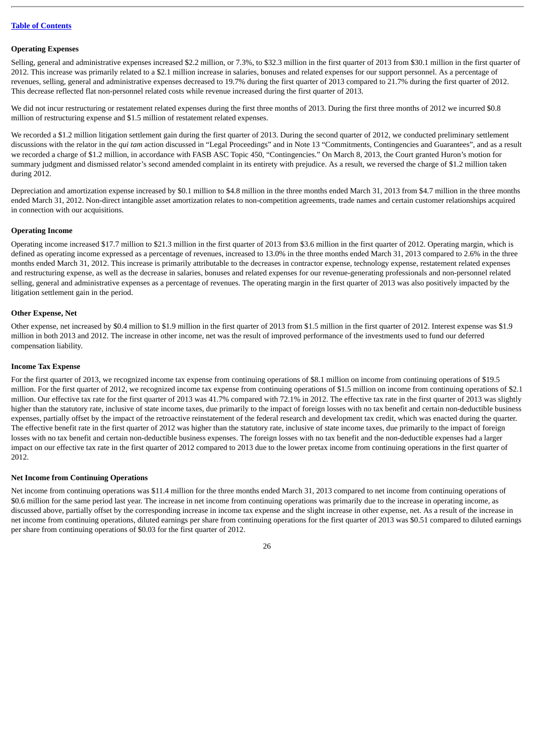#### **Operating Expenses**

Selling, general and administrative expenses increased \$2.2 million, or 7.3%, to \$32.3 million in the first quarter of 2013 from \$30.1 million in the first quarter of 2012. This increase was primarily related to a \$2.1 million increase in salaries, bonuses and related expenses for our support personnel. As a percentage of revenues, selling, general and administrative expenses decreased to 19.7% during the first quarter of 2013 compared to 21.7% during the first quarter of 2012. This decrease reflected flat non-personnel related costs while revenue increased during the first quarter of 2013.

We did not incur restructuring or restatement related expenses during the first three months of 2013. During the first three months of 2012 we incurred \$0.8 million of restructuring expense and \$1.5 million of restatement related expenses.

We recorded a \$1.2 million litigation settlement gain during the first quarter of 2013. During the second quarter of 2012, we conducted preliminary settlement discussions with the relator in the *qui tam* action discussed in "Legal Proceedings" and in Note 13 "Commitments, Contingencies and Guarantees", and as a result we recorded a charge of \$1.2 million, in accordance with FASB ASC Topic 450, "Contingencies." On March 8, 2013, the Court granted Huron's motion for summary judgment and dismissed relator's second amended complaint in its entirety with prejudice. As a result, we reversed the charge of \$1.2 million taken during 2012.

Depreciation and amortization expense increased by \$0.1 million to \$4.8 million in the three months ended March 31, 2013 from \$4.7 million in the three months ended March 31, 2012. Non-direct intangible asset amortization relates to non-competition agreements, trade names and certain customer relationships acquired in connection with our acquisitions.

#### **Operating Income**

Operating income increased \$17.7 million to \$21.3 million in the first quarter of 2013 from \$3.6 million in the first quarter of 2012. Operating margin, which is defined as operating income expressed as a percentage of revenues, increased to 13.0% in the three months ended March 31, 2013 compared to 2.6% in the three months ended March 31, 2012. This increase is primarily attributable to the decreases in contractor expense, technology expense, restatement related expenses and restructuring expense, as well as the decrease in salaries, bonuses and related expenses for our revenue-generating professionals and non-personnel related selling, general and administrative expenses as a percentage of revenues. The operating margin in the first quarter of 2013 was also positively impacted by the litigation settlement gain in the period.

#### **Other Expense, Net**

Other expense, net increased by \$0.4 million to \$1.9 million in the first quarter of 2013 from \$1.5 million in the first quarter of 2012. Interest expense was \$1.9 million in both 2013 and 2012. The increase in other income, net was the result of improved performance of the investments used to fund our deferred compensation liability.

#### **Income Tax Expense**

For the first quarter of 2013, we recognized income tax expense from continuing operations of \$8.1 million on income from continuing operations of \$19.5 million. For the first quarter of 2012, we recognized income tax expense from continuing operations of \$1.5 million on income from continuing operations of \$2.1 million. Our effective tax rate for the first quarter of 2013 was 41.7% compared with 72.1% in 2012. The effective tax rate in the first quarter of 2013 was slightly higher than the statutory rate, inclusive of state income taxes, due primarily to the impact of foreign losses with no tax benefit and certain non-deductible business expenses, partially offset by the impact of the retroactive reinstatement of the federal research and development tax credit, which was enacted during the quarter. The effective benefit rate in the first quarter of 2012 was higher than the statutory rate, inclusive of state income taxes, due primarily to the impact of foreign losses with no tax benefit and certain non-deductible business expenses. The foreign losses with no tax benefit and the non-deductible expenses had a larger impact on our effective tax rate in the first quarter of 2012 compared to 2013 due to the lower pretax income from continuing operations in the first quarter of 2012.

#### **Net Income from Continuing Operations**

Net income from continuing operations was \$11.4 million for the three months ended March 31, 2013 compared to net income from continuing operations of \$0.6 million for the same period last year. The increase in net income from continuing operations was primarily due to the increase in operating income, as discussed above, partially offset by the corresponding increase in income tax expense and the slight increase in other expense, net. As a result of the increase in net income from continuing operations, diluted earnings per share from continuing operations for the first quarter of 2013 was \$0.51 compared to diluted earnings per share from continuing operations of \$0.03 for the first quarter of 2012.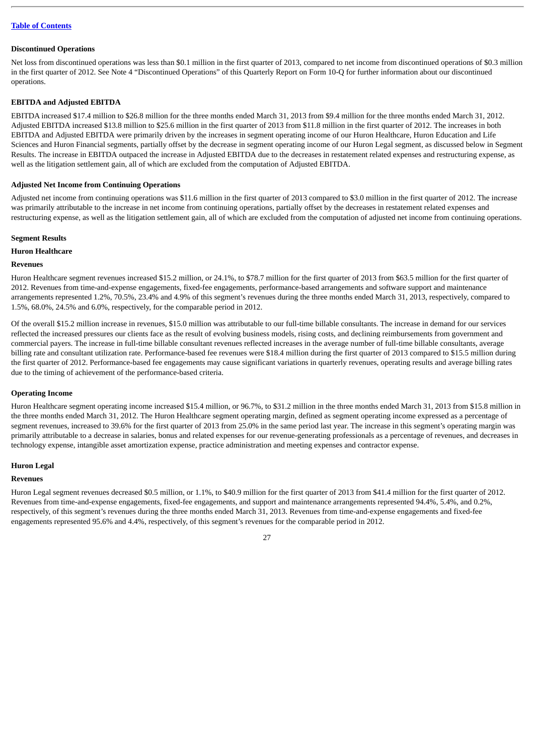#### **Discontinued Operations**

Net loss from discontinued operations was less than \$0.1 million in the first quarter of 2013, compared to net income from discontinued operations of \$0.3 million in the first quarter of 2012. See Note 4 "Discontinued Operations" of this Quarterly Report on Form 10-Q for further information about our discontinued operations.

#### **EBITDA and Adjusted EBITDA**

EBITDA increased \$17.4 million to \$26.8 million for the three months ended March 31, 2013 from \$9.4 million for the three months ended March 31, 2012. Adjusted EBITDA increased \$13.8 million to \$25.6 million in the first quarter of 2013 from \$11.8 million in the first quarter of 2012. The increases in both EBITDA and Adjusted EBITDA were primarily driven by the increases in segment operating income of our Huron Healthcare, Huron Education and Life Sciences and Huron Financial segments, partially offset by the decrease in segment operating income of our Huron Legal segment, as discussed below in Segment Results. The increase in EBITDA outpaced the increase in Adjusted EBITDA due to the decreases in restatement related expenses and restructuring expense, as well as the litigation settlement gain, all of which are excluded from the computation of Adjusted EBITDA.

#### **Adjusted Net Income from Continuing Operations**

Adjusted net income from continuing operations was \$11.6 million in the first quarter of 2013 compared to \$3.0 million in the first quarter of 2012. The increase was primarily attributable to the increase in net income from continuing operations, partially offset by the decreases in restatement related expenses and restructuring expense, as well as the litigation settlement gain, all of which are excluded from the computation of adjusted net income from continuing operations.

#### **Segment Results**

#### **Huron Healthcare**

#### **Revenues**

Huron Healthcare segment revenues increased \$15.2 million, or 24.1%, to \$78.7 million for the first quarter of 2013 from \$63.5 million for the first quarter of 2012. Revenues from time-and-expense engagements, fixed-fee engagements, performance-based arrangements and software support and maintenance arrangements represented 1.2%, 70.5%, 23.4% and 4.9% of this segment's revenues during the three months ended March 31, 2013, respectively, compared to 1.5%, 68.0%, 24.5% and 6.0%, respectively, for the comparable period in 2012.

Of the overall \$15.2 million increase in revenues, \$15.0 million was attributable to our full-time billable consultants. The increase in demand for our services reflected the increased pressures our clients face as the result of evolving business models, rising costs, and declining reimbursements from government and commercial payers. The increase in full-time billable consultant revenues reflected increases in the average number of full-time billable consultants, average billing rate and consultant utilization rate. Performance-based fee revenues were \$18.4 million during the first quarter of 2013 compared to \$15.5 million during the first quarter of 2012. Performance-based fee engagements may cause significant variations in quarterly revenues, operating results and average billing rates due to the timing of achievement of the performance-based criteria.

#### **Operating Income**

Huron Healthcare segment operating income increased \$15.4 million, or 96.7%, to \$31.2 million in the three months ended March 31, 2013 from \$15.8 million in the three months ended March 31, 2012. The Huron Healthcare segment operating margin, defined as segment operating income expressed as a percentage of segment revenues, increased to 39.6% for the first quarter of 2013 from 25.0% in the same period last year. The increase in this segment's operating margin was primarily attributable to a decrease in salaries, bonus and related expenses for our revenue-generating professionals as a percentage of revenues, and decreases in technology expense, intangible asset amortization expense, practice administration and meeting expenses and contractor expense.

#### **Huron Legal**

#### **Revenues**

Huron Legal segment revenues decreased \$0.5 million, or 1.1%, to \$40.9 million for the first quarter of 2013 from \$41.4 million for the first quarter of 2012. Revenues from time-and-expense engagements, fixed-fee engagements, and support and maintenance arrangements represented 94.4%, 5.4%, and 0.2%, respectively, of this segment's revenues during the three months ended March 31, 2013. Revenues from time-and-expense engagements and fixed-fee engagements represented 95.6% and 4.4%, respectively, of this segment's revenues for the comparable period in 2012.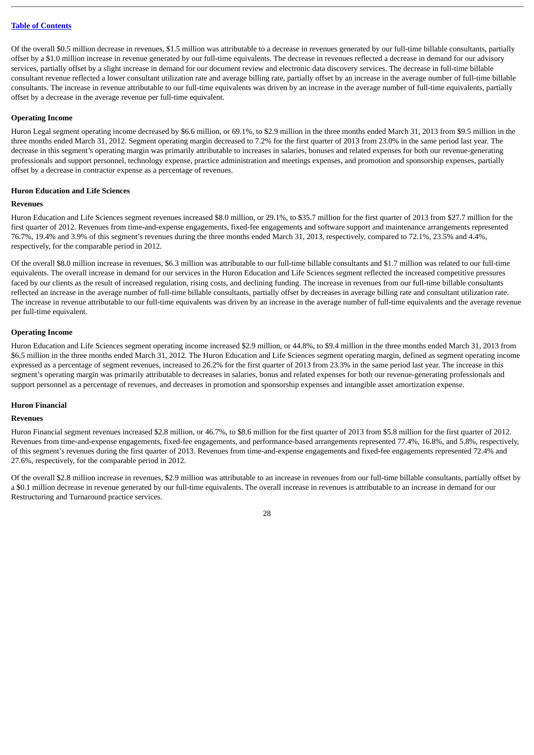Of the overall \$0.5 million decrease in revenues, \$1.5 million was attributable to a decrease in revenues generated by our full-time billable consultants, partially offset by a \$1.0 million increase in revenue generated by our full-time equivalents. The decrease in revenues reflected a decrease in demand for our advisory services, partially offset by a slight increase in demand for our document review and electronic data discovery services. The decrease in full-time billable consultant revenue reflected a lower consultant utilization rate and average billing rate, partially offset by an increase in the average number of full-time billable consultants. The increase in revenue attributable to our full-time equivalents was driven by an increase in the average number of full-time equivalents, partially offset by a decrease in the average revenue per full-time equivalent.

#### **Operating Income**

Huron Legal segment operating income decreased by \$6.6 million, or 69.1%, to \$2.9 million in the three months ended March 31, 2013 from \$9.5 million in the three months ended March 31, 2012. Segment operating margin decreased to 7.2% for the first quarter of 2013 from 23.0% in the same period last year. The decrease in this segment's operating margin was primarily attributable to increases in salaries, bonuses and related expenses for both our revenue-generating professionals and support personnel, technology expense, practice administration and meetings expenses, and promotion and sponsorship expenses, partially offset by a decrease in contractor expense as a percentage of revenues.

### **Huron Education and Life Sciences**

#### **Revenues**

Huron Education and Life Sciences segment revenues increased \$8.0 million, or 29.1%, to \$35.7 million for the first quarter of 2013 from \$27.7 million for the first quarter of 2012. Revenues from time-and-expense engagements, fixed-fee engagements and software support and maintenance arrangements represented 76.7%, 19.4% and 3.9% of this segment's revenues during the three months ended March 31, 2013, respectively, compared to 72.1%, 23.5% and 4.4%, respectively, for the comparable period in 2012.

Of the overall \$8.0 million increase in revenues, \$6.3 million was attributable to our full-time billable consultants and \$1.7 million was related to our full-time equivalents. The overall increase in demand for our services in the Huron Education and Life Sciences segment reflected the increased competitive pressures faced by our clients as the result of increased regulation, rising costs, and declining funding. The increase in revenues from our full-time billable consultants reflected an increase in the average number of full-time billable consultants, partially offset by decreases in average billing rate and consultant utilization rate. The increase in revenue attributable to our full-time equivalents was driven by an increase in the average number of full-time equivalents and the average revenue per full-time equivalent.

#### **Operating Income**

Huron Education and Life Sciences segment operating income increased \$2.9 million, or 44.8%, to \$9.4 million in the three months ended March 31, 2013 from \$6.5 million in the three months ended March 31, 2012. The Huron Education and Life Sciences segment operating margin, defined as segment operating income expressed as a percentage of segment revenues, increased to 26.2% for the first quarter of 2013 from 23.3% in the same period last year. The increase in this segment's operating margin was primarily attributable to decreases in salaries, bonus and related expenses for both our revenue-generating professionals and support personnel as a percentage of revenues, and decreases in promotion and sponsorship expenses and intangible asset amortization expense.

#### **Huron Financial**

#### **Revenues**

Huron Financial segment revenues increased \$2.8 million, or 46.7%, to \$8.6 million for the first quarter of 2013 from \$5.8 million for the first quarter of 2012. Revenues from time-and-expense engagements, fixed-fee engagements, and performance-based arrangements represented 77.4%, 16.8%, and 5.8%, respectively, of this segment's revenues during the first quarter of 2013. Revenues from time-and-expense engagements and fixed-fee engagements represented 72.4% and 27.6%, respectively, for the comparable period in 2012.

Of the overall \$2.8 million increase in revenues, \$2.9 million was attributable to an increase in revenues from our full-time billable consultants, partially offset by a \$0.1 million decrease in revenue generated by our full-time equivalents. The overall increase in revenues is attributable to an increase in demand for our Restructuring and Turnaround practice services.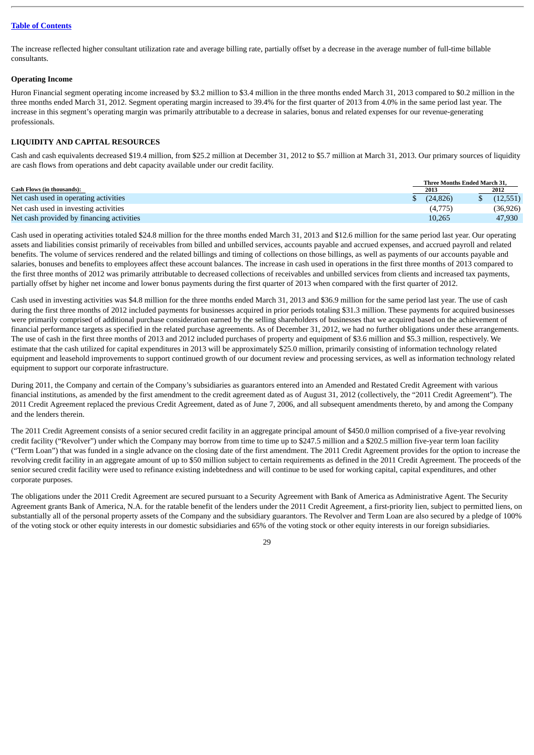The increase reflected higher consultant utilization rate and average billing rate, partially offset by a decrease in the average number of full-time billable consultants.

#### **Operating Income**

Huron Financial segment operating income increased by \$3.2 million to \$3.4 million in the three months ended March 31, 2013 compared to \$0.2 million in the three months ended March 31, 2012. Segment operating margin increased to 39.4% for the first quarter of 2013 from 4.0% in the same period last year. The increase in this segment's operating margin was primarily attributable to a decrease in salaries, bonus and related expenses for our revenue-generating professionals.

### **LIQUIDITY AND CAPITAL RESOURCES**

Cash and cash equivalents decreased \$19.4 million, from \$25.2 million at December 31, 2012 to \$5.7 million at March 31, 2013. Our primary sources of liquidity are cash flows from operations and debt capacity available under our credit facility.

|                                           |  | Three Months Ended March 31. |          |
|-------------------------------------------|--|------------------------------|----------|
| <b>Cash Flows (in thousands):</b>         |  | 2013                         | 2012     |
| Net cash used in operating activities     |  | (24.826)                     | (12,551) |
| Net cash used in investing activities     |  | (4.775)                      | (36,926) |
| Net cash provided by financing activities |  | 10.265                       | 47.930   |

Cash used in operating activities totaled \$24.8 million for the three months ended March 31, 2013 and \$12.6 million for the same period last year. Our operating assets and liabilities consist primarily of receivables from billed and unbilled services, accounts payable and accrued expenses, and accrued payroll and related benefits. The volume of services rendered and the related billings and timing of collections on those billings, as well as payments of our accounts payable and salaries, bonuses and benefits to employees affect these account balances. The increase in cash used in operations in the first three months of 2013 compared to the first three months of 2012 was primarily attributable to decreased collections of receivables and unbilled services from clients and increased tax payments, partially offset by higher net income and lower bonus payments during the first quarter of 2013 when compared with the first quarter of 2012.

Cash used in investing activities was \$4.8 million for the three months ended March 31, 2013 and \$36.9 million for the same period last year. The use of cash during the first three months of 2012 included payments for businesses acquired in prior periods totaling \$31.3 million. These payments for acquired businesses were primarily comprised of additional purchase consideration earned by the selling shareholders of businesses that we acquired based on the achievement of financial performance targets as specified in the related purchase agreements. As of December 31, 2012, we had no further obligations under these arrangements. The use of cash in the first three months of 2013 and 2012 included purchases of property and equipment of \$3.6 million and \$5.3 million, respectively. We estimate that the cash utilized for capital expenditures in 2013 will be approximately \$25.0 million, primarily consisting of information technology related equipment and leasehold improvements to support continued growth of our document review and processing services, as well as information technology related equipment to support our corporate infrastructure.

During 2011, the Company and certain of the Company's subsidiaries as guarantors entered into an Amended and Restated Credit Agreement with various financial institutions, as amended by the first amendment to the credit agreement dated as of August 31, 2012 (collectively, the "2011 Credit Agreement"). The 2011 Credit Agreement replaced the previous Credit Agreement, dated as of June 7, 2006, and all subsequent amendments thereto, by and among the Company and the lenders therein.

The 2011 Credit Agreement consists of a senior secured credit facility in an aggregate principal amount of \$450.0 million comprised of a five-year revolving credit facility ("Revolver") under which the Company may borrow from time to time up to \$247.5 million and a \$202.5 million five-year term loan facility ("Term Loan") that was funded in a single advance on the closing date of the first amendment. The 2011 Credit Agreement provides for the option to increase the revolving credit facility in an aggregate amount of up to \$50 million subject to certain requirements as defined in the 2011 Credit Agreement. The proceeds of the senior secured credit facility were used to refinance existing indebtedness and will continue to be used for working capital, capital expenditures, and other corporate purposes.

The obligations under the 2011 Credit Agreement are secured pursuant to a Security Agreement with Bank of America as Administrative Agent. The Security Agreement grants Bank of America, N.A. for the ratable benefit of the lenders under the 2011 Credit Agreement, a first-priority lien, subject to permitted liens, on substantially all of the personal property assets of the Company and the subsidiary guarantors. The Revolver and Term Loan are also secured by a pledge of 100% of the voting stock or other equity interests in our domestic subsidiaries and 65% of the voting stock or other equity interests in our foreign subsidiaries.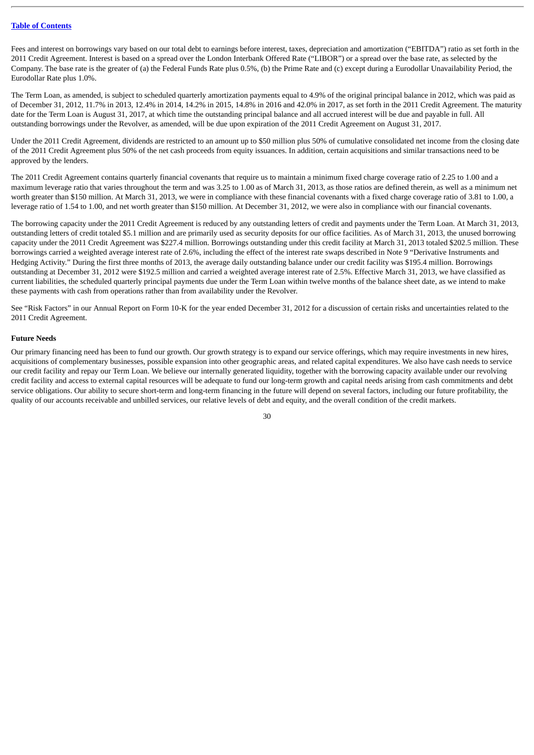Fees and interest on borrowings vary based on our total debt to earnings before interest, taxes, depreciation and amortization ("EBITDA") ratio as set forth in the 2011 Credit Agreement. Interest is based on a spread over the London Interbank Offered Rate ("LIBOR") or a spread over the base rate, as selected by the Company. The base rate is the greater of (a) the Federal Funds Rate plus 0.5%, (b) the Prime Rate and (c) except during a Eurodollar Unavailability Period, the Eurodollar Rate plus 1.0%.

The Term Loan, as amended, is subject to scheduled quarterly amortization payments equal to 4.9% of the original principal balance in 2012, which was paid as of December 31, 2012, 11.7% in 2013, 12.4% in 2014, 14.2% in 2015, 14.8% in 2016 and 42.0% in 2017, as set forth in the 2011 Credit Agreement. The maturity date for the Term Loan is August 31, 2017, at which time the outstanding principal balance and all accrued interest will be due and payable in full. All outstanding borrowings under the Revolver, as amended, will be due upon expiration of the 2011 Credit Agreement on August 31, 2017.

Under the 2011 Credit Agreement, dividends are restricted to an amount up to \$50 million plus 50% of cumulative consolidated net income from the closing date of the 2011 Credit Agreement plus 50% of the net cash proceeds from equity issuances. In addition, certain acquisitions and similar transactions need to be approved by the lenders.

The 2011 Credit Agreement contains quarterly financial covenants that require us to maintain a minimum fixed charge coverage ratio of 2.25 to 1.00 and a maximum leverage ratio that varies throughout the term and was 3.25 to 1.00 as of March 31, 2013, as those ratios are defined therein, as well as a minimum net worth greater than \$150 million. At March 31, 2013, we were in compliance with these financial covenants with a fixed charge coverage ratio of 3.81 to 1.00, a leverage ratio of 1.54 to 1.00, and net worth greater than \$150 million. At December 31, 2012, we were also in compliance with our financial covenants.

The borrowing capacity under the 2011 Credit Agreement is reduced by any outstanding letters of credit and payments under the Term Loan. At March 31, 2013, outstanding letters of credit totaled \$5.1 million and are primarily used as security deposits for our office facilities. As of March 31, 2013, the unused borrowing capacity under the 2011 Credit Agreement was \$227.4 million. Borrowings outstanding under this credit facility at March 31, 2013 totaled \$202.5 million. These borrowings carried a weighted average interest rate of 2.6%, including the effect of the interest rate swaps described in Note 9 "Derivative Instruments and Hedging Activity." During the first three months of 2013, the average daily outstanding balance under our credit facility was \$195.4 million. Borrowings outstanding at December 31, 2012 were \$192.5 million and carried a weighted average interest rate of 2.5%. Effective March 31, 2013, we have classified as current liabilities, the scheduled quarterly principal payments due under the Term Loan within twelve months of the balance sheet date, as we intend to make these payments with cash from operations rather than from availability under the Revolver.

See "Risk Factors" in our Annual Report on Form 10-K for the year ended December 31, 2012 for a discussion of certain risks and uncertainties related to the 2011 Credit Agreement.

#### **Future Needs**

Our primary financing need has been to fund our growth. Our growth strategy is to expand our service offerings, which may require investments in new hires, acquisitions of complementary businesses, possible expansion into other geographic areas, and related capital expenditures. We also have cash needs to service our credit facility and repay our Term Loan. We believe our internally generated liquidity, together with the borrowing capacity available under our revolving credit facility and access to external capital resources will be adequate to fund our long-term growth and capital needs arising from cash commitments and debt service obligations. Our ability to secure short-term and long-term financing in the future will depend on several factors, including our future profitability, the quality of our accounts receivable and unbilled services, our relative levels of debt and equity, and the overall condition of the credit markets.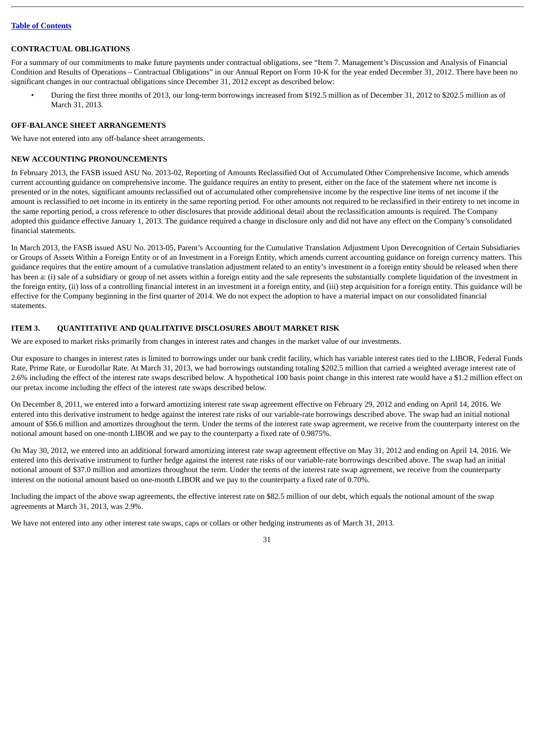### **CONTRACTUAL OBLIGATIONS**

For a summary of our commitments to make future payments under contractual obligations, see "Item 7. Management's Discussion and Analysis of Financial Condition and Results of Operations – Contractual Obligations" in our Annual Report on Form 10-K for the year ended December 31, 2012. There have been no significant changes in our contractual obligations since December 31, 2012 except as described below:

• During the first three months of 2013, our long-term borrowings increased from \$192.5 million as of December 31, 2012 to \$202.5 million as of March 31, 2013.

#### **OFF-BALANCE SHEET ARRANGEMENTS**

We have not entered into any off-balance sheet arrangements.

### **NEW ACCOUNTING PRONOUNCEMENTS**

In February 2013, the FASB issued ASU No. 2013-02, Reporting of Amounts Reclassified Out of Accumulated Other Comprehensive Income, which amends current accounting guidance on comprehensive income. The guidance requires an entity to present, either on the face of the statement where net income is presented or in the notes, significant amounts reclassified out of accumulated other comprehensive income by the respective line items of net income if the amount is reclassified to net income in its entirety in the same reporting period. For other amounts not required to be reclassified in their entirety to net income in the same reporting period, a cross reference to other disclosures that provide additional detail about the reclassification amounts is required. The Company adopted this guidance effective January 1, 2013. The guidance required a change in disclosure only and did not have any effect on the Company's consolidated financial statements.

In March 2013, the FASB issued ASU No. 2013-05, Parent's Accounting for the Cumulative Translation Adjustment Upon Derecognition of Certain Subsidiaries or Groups of Assets Within a Foreign Entity or of an Investment in a Foreign Entity, which amends current accounting guidance on foreign currency matters. This guidance requires that the entire amount of a cumulative translation adjustment related to an entity's investment in a foreign entity should be released when there has been a: (i) sale of a subsidiary or group of net assets within a foreign entity and the sale represents the substantially complete liquidation of the investment in the foreign entity, (ii) loss of a controlling financial interest in an investment in a foreign entity, and (iii) step acquisition for a foreign entity. This guidance will be effective for the Company beginning in the first quarter of 2014. We do not expect the adoption to have a material impact on our consolidated financial statements.

### <span id="page-32-0"></span>**ITEM 3. QUANTITATIVE AND QUALITATIVE DISCLOSURES ABOUT MARKET RISK**

We are exposed to market risks primarily from changes in interest rates and changes in the market value of our investments.

Our exposure to changes in interest rates is limited to borrowings under our bank credit facility, which has variable interest rates tied to the LIBOR, Federal Funds Rate, Prime Rate, or Eurodollar Rate. At March 31, 2013, we had borrowings outstanding totaling \$202.5 million that carried a weighted average interest rate of 2.6% including the effect of the interest rate swaps described below. A hypothetical 100 basis point change in this interest rate would have a \$1.2 million effect on our pretax income including the effect of the interest rate swaps described below.

On December 8, 2011, we entered into a forward amortizing interest rate swap agreement effective on February 29, 2012 and ending on April 14, 2016. We entered into this derivative instrument to hedge against the interest rate risks of our variable-rate borrowings described above. The swap had an initial notional amount of \$56.6 million and amortizes throughout the term. Under the terms of the interest rate swap agreement, we receive from the counterparty interest on the notional amount based on one-month LIBOR and we pay to the counterparty a fixed rate of 0.9875%.

On May 30, 2012, we entered into an additional forward amortizing interest rate swap agreement effective on May 31, 2012 and ending on April 14, 2016. We entered into this derivative instrument to further hedge against the interest rate risks of our variable-rate borrowings described above. The swap had an initial notional amount of \$37.0 million and amortizes throughout the term. Under the terms of the interest rate swap agreement, we receive from the counterparty interest on the notional amount based on one-month LIBOR and we pay to the counterparty a fixed rate of 0.70%.

Including the impact of the above swap agreements, the effective interest rate on \$82.5 million of our debt, which equals the notional amount of the swap agreements at March 31, 2013, was 2.9%.

We have not entered into any other interest rate swaps, caps or collars or other hedging instruments as of March 31, 2013.

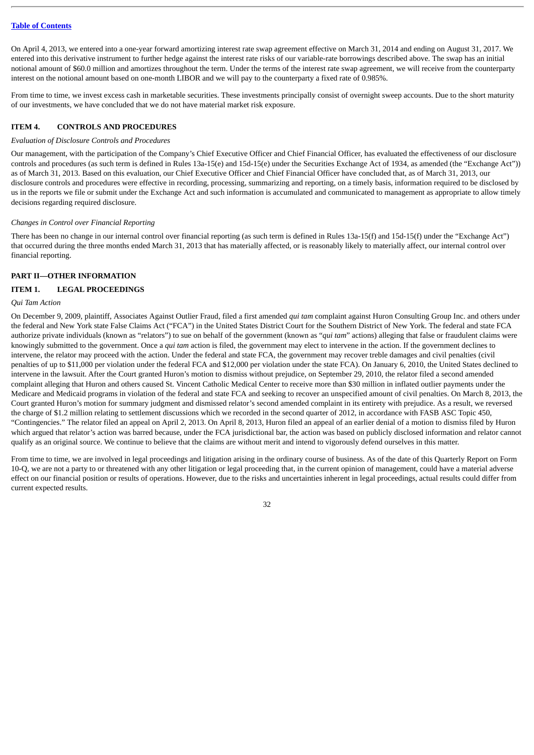On April 4, 2013, we entered into a one-year forward amortizing interest rate swap agreement effective on March 31, 2014 and ending on August 31, 2017. We entered into this derivative instrument to further hedge against the interest rate risks of our variable-rate borrowings described above. The swap has an initial notional amount of \$60.0 million and amortizes throughout the term. Under the terms of the interest rate swap agreement, we will receive from the counterparty interest on the notional amount based on one-month LIBOR and we will pay to the counterparty a fixed rate of 0.985%.

From time to time, we invest excess cash in marketable securities. These investments principally consist of overnight sweep accounts. Due to the short maturity of our investments, we have concluded that we do not have material market risk exposure.

### <span id="page-33-0"></span>**ITEM 4. CONTROLS AND PROCEDURES**

#### *Evaluation of Disclosure Controls and Procedures*

Our management, with the participation of the Company's Chief Executive Officer and Chief Financial Officer, has evaluated the effectiveness of our disclosure controls and procedures (as such term is defined in Rules 13a-15(e) and 15d-15(e) under the Securities Exchange Act of 1934, as amended (the "Exchange Act")) as of March 31, 2013. Based on this evaluation, our Chief Executive Officer and Chief Financial Officer have concluded that, as of March 31, 2013, our disclosure controls and procedures were effective in recording, processing, summarizing and reporting, on a timely basis, information required to be disclosed by us in the reports we file or submit under the Exchange Act and such information is accumulated and communicated to management as appropriate to allow timely decisions regarding required disclosure.

#### *Changes in Control over Financial Reporting*

There has been no change in our internal control over financial reporting (as such term is defined in Rules 13a-15(f) and 15d-15(f) under the "Exchange Act") that occurred during the three months ended March 31, 2013 that has materially affected, or is reasonably likely to materially affect, our internal control over financial reporting.

### <span id="page-33-1"></span>**PART II—OTHER INFORMATION**

### <span id="page-33-2"></span>**ITEM 1. LEGAL PROCEEDINGS**

#### *Qui Tam Action*

On December 9, 2009, plaintiff, Associates Against Outlier Fraud, filed a first amended *qui tam* complaint against Huron Consulting Group Inc. and others under the federal and New York state False Claims Act ("FCA") in the United States District Court for the Southern District of New York. The federal and state FCA authorize private individuals (known as "relators") to sue on behalf of the government (known as "*qui tam*" actions) alleging that false or fraudulent claims were knowingly submitted to the government. Once a *qui tam* action is filed, the government may elect to intervene in the action. If the government declines to intervene, the relator may proceed with the action. Under the federal and state FCA, the government may recover treble damages and civil penalties (civil penalties of up to \$11,000 per violation under the federal FCA and \$12,000 per violation under the state FCA). On January 6, 2010, the United States declined to intervene in the lawsuit. After the Court granted Huron's motion to dismiss without prejudice, on September 29, 2010, the relator filed a second amended complaint alleging that Huron and others caused St. Vincent Catholic Medical Center to receive more than \$30 million in inflated outlier payments under the Medicare and Medicaid programs in violation of the federal and state FCA and seeking to recover an unspecified amount of civil penalties. On March 8, 2013, the Court granted Huron's motion for summary judgment and dismissed relator's second amended complaint in its entirety with prejudice. As a result, we reversed the charge of \$1.2 million relating to settlement discussions which we recorded in the second quarter of 2012, in accordance with FASB ASC Topic 450, "Contingencies." The relator filed an appeal on April 2, 2013. On April 8, 2013, Huron filed an appeal of an earlier denial of a motion to dismiss filed by Huron which argued that relator's action was barred because, under the FCA jurisdictional bar, the action was based on publicly disclosed information and relator cannot qualify as an original source. We continue to believe that the claims are without merit and intend to vigorously defend ourselves in this matter.

From time to time, we are involved in legal proceedings and litigation arising in the ordinary course of business. As of the date of this Quarterly Report on Form 10-Q, we are not a party to or threatened with any other litigation or legal proceeding that, in the current opinion of management, could have a material adverse effect on our financial position or results of operations. However, due to the risks and uncertainties inherent in legal proceedings, actual results could differ from current expected results.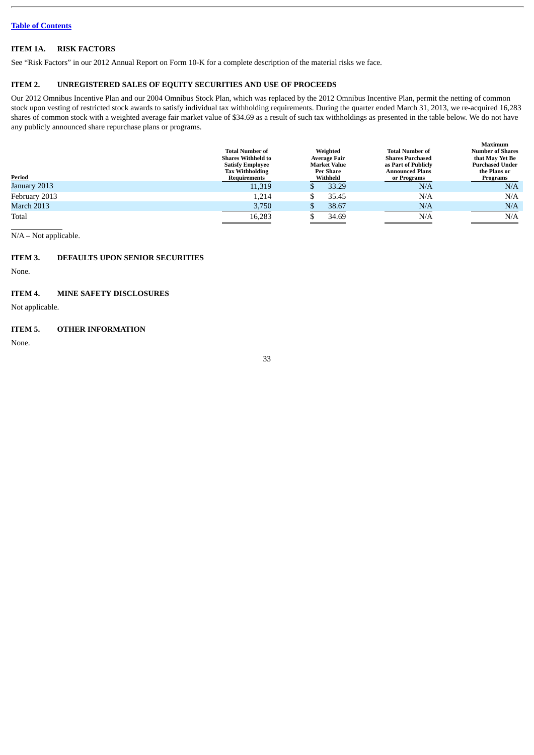### <span id="page-34-0"></span>**ITEM 1A. RISK FACTORS**

See "Risk Factors" in our 2012 Annual Report on Form 10-K for a complete description of the material risks we face.

### <span id="page-34-1"></span>**ITEM 2. UNREGISTERED SALES OF EQUITY SECURITIES AND USE OF PROCEEDS**

Our 2012 Omnibus Incentive Plan and our 2004 Omnibus Stock Plan, which was replaced by the 2012 Omnibus Incentive Plan, permit the netting of common stock upon vesting of restricted stock awards to satisfy individual tax withholding requirements. During the quarter ended March 31, 2013, we re-acquired 16,283 shares of common stock with a weighted average fair market value of \$34.69 as a result of such tax withholdings as presented in the table below. We do not have any publicly announced share repurchase plans or programs.

| <b>Period</b> | <b>Total Number of</b><br><b>Shares Withheld to</b><br><b>Satisfy Employee</b><br><b>Tax Withholding</b><br>Requirements |   | Weighted<br><b>Average Fair</b><br><b>Market Value</b><br>Per Share<br>Withheld | <b>Total Number of</b><br><b>Shares Purchased</b><br>as Part of Publicly<br><b>Announced Plans</b><br>or Programs | Maximum<br><b>Number of Shares</b><br>that May Yet Be<br><b>Purchased Under</b><br>the Plans or<br>Programs |
|---------------|--------------------------------------------------------------------------------------------------------------------------|---|---------------------------------------------------------------------------------|-------------------------------------------------------------------------------------------------------------------|-------------------------------------------------------------------------------------------------------------|
| January 2013  | 11.319                                                                                                                   | D | 33.29                                                                           | N/A                                                                                                               | N/A                                                                                                         |
| February 2013 | 1.214                                                                                                                    | S | 35.45                                                                           | N/A                                                                                                               | N/A                                                                                                         |
| March 2013    | 3,750                                                                                                                    |   | 38.67                                                                           | N/A                                                                                                               | N/A                                                                                                         |
| Total         | 16,283                                                                                                                   |   | 34.69                                                                           | N/A                                                                                                               | N/A                                                                                                         |

N/A – Not applicable.

### <span id="page-34-2"></span>**ITEM 3. DEFAULTS UPON SENIOR SECURITIES**

None.

#### <span id="page-34-3"></span>**ITEM 4. MINE SAFETY DISCLOSURES**

Not applicable.

### <span id="page-34-4"></span>**ITEM 5. OTHER INFORMATION**

None.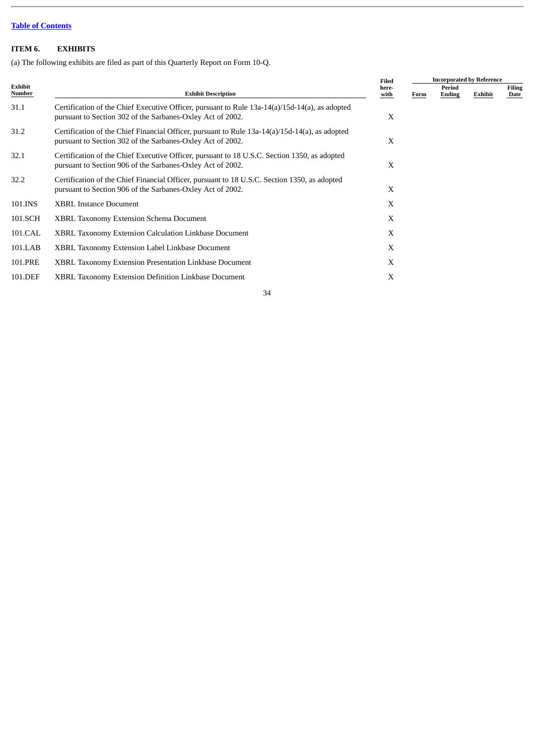### <span id="page-35-0"></span>**ITEM 6. EXHIBITS**

(a) The following exhibits are filed as part of this Quarterly Report on Form 10-Q.

| Exhibit<br><b>Number</b> | <b>Exhibit Description</b>                                                                                                                                      | Filed<br>here-<br>with | <b>Incorporated by Reference</b> |                  |         |                       |
|--------------------------|-----------------------------------------------------------------------------------------------------------------------------------------------------------------|------------------------|----------------------------------|------------------|---------|-----------------------|
|                          |                                                                                                                                                                 |                        | Form                             | Period<br>Ending | Exhibit | <b>Filing</b><br>Date |
| 31.1                     | Certification of the Chief Executive Officer, pursuant to Rule $13a-14(a)/15d-14(a)$ , as adopted<br>pursuant to Section 302 of the Sarbanes-Oxley Act of 2002. | X                      |                                  |                  |         |                       |
| 31.2                     | Certification of the Chief Financial Officer, pursuant to Rule 13a-14(a)/15d-14(a), as adopted<br>pursuant to Section 302 of the Sarbanes-Oxley Act of 2002.    | X                      |                                  |                  |         |                       |
| 32.1                     | Certification of the Chief Executive Officer, pursuant to 18 U.S.C. Section 1350, as adopted<br>pursuant to Section 906 of the Sarbanes-Oxley Act of 2002.      | X                      |                                  |                  |         |                       |
| 32.2                     | Certification of the Chief Financial Officer, pursuant to 18 U.S.C. Section 1350, as adopted<br>pursuant to Section 906 of the Sarbanes-Oxley Act of 2002.      | X                      |                                  |                  |         |                       |
| 101.INS                  | <b>XBRL Instance Document</b>                                                                                                                                   | X                      |                                  |                  |         |                       |
| 101.SCH                  | XBRL Taxonomy Extension Schema Document                                                                                                                         | X                      |                                  |                  |         |                       |
| 101.CAL                  | XBRL Taxonomy Extension Calculation Linkbase Document                                                                                                           | X                      |                                  |                  |         |                       |
| 101.LAB                  | XBRL Taxonomy Extension Label Linkbase Document                                                                                                                 | X                      |                                  |                  |         |                       |
| 101.PRE                  | XBRL Taxonomy Extension Presentation Linkbase Document                                                                                                          | X                      |                                  |                  |         |                       |
| 101.DEF                  | XBRL Taxonomy Extension Definition Linkbase Document                                                                                                            | X                      |                                  |                  |         |                       |
|                          | 34                                                                                                                                                              |                        |                                  |                  |         |                       |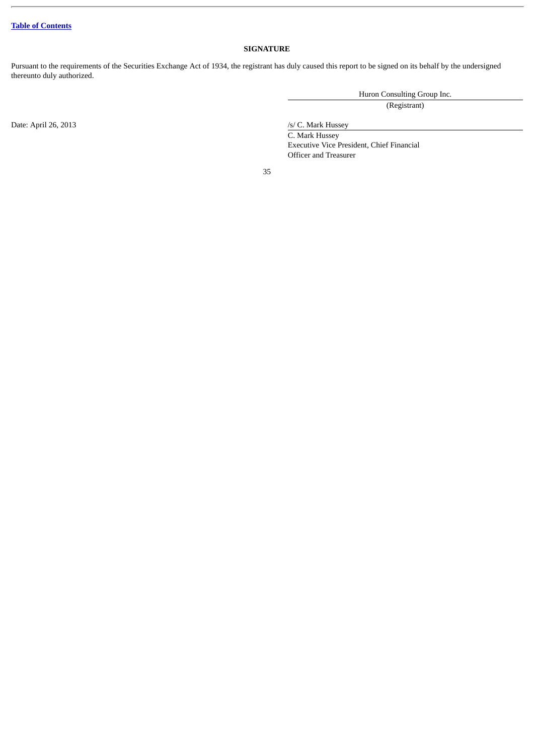### **SIGNATURE**

<span id="page-36-0"></span>Pursuant to the requirements of the Securities Exchange Act of 1934, the registrant has duly caused this report to be signed on its behalf by the undersigned thereunto duly authorized.

Huron Consulting Group Inc.

(Registrant)

Date: April 26, 2013 /s/ C. Mark Hussey

C. Mark Hussey

Executive Vice President, Chief Financial Officer and Treasurer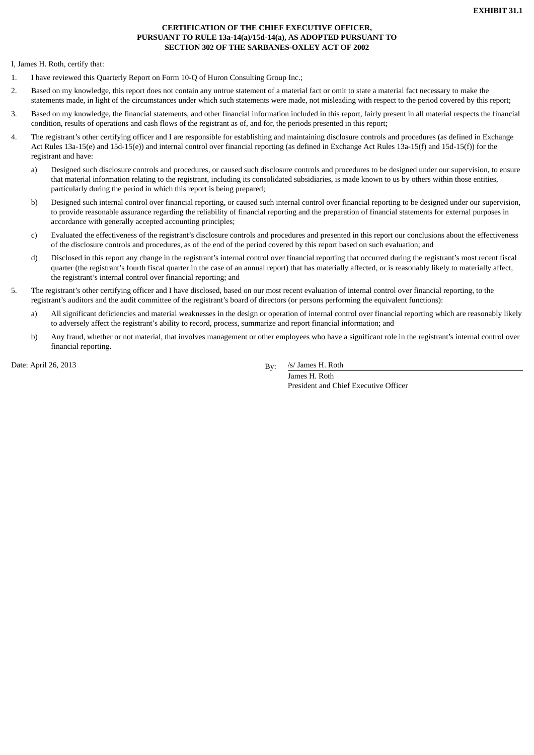### **CERTIFICATION OF THE CHIEF EXECUTIVE OFFICER, PURSUANT TO RULE 13a-14(a)/15d-14(a), AS ADOPTED PURSUANT TO SECTION 302 OF THE SARBANES-OXLEY ACT OF 2002**

I, James H. Roth, certify that:

- 1. I have reviewed this Quarterly Report on Form 10-Q of Huron Consulting Group Inc.;
- 2. Based on my knowledge, this report does not contain any untrue statement of a material fact or omit to state a material fact necessary to make the statements made, in light of the circumstances under which such statements were made, not misleading with respect to the period covered by this report;
- 3. Based on my knowledge, the financial statements, and other financial information included in this report, fairly present in all material respects the financial condition, results of operations and cash flows of the registrant as of, and for, the periods presented in this report;
- 4. The registrant's other certifying officer and I are responsible for establishing and maintaining disclosure controls and procedures (as defined in Exchange Act Rules 13a-15(e) and 15d-15(e)) and internal control over financial reporting (as defined in Exchange Act Rules 13a-15(f) and 15d-15(f)) for the registrant and have:
	- a) Designed such disclosure controls and procedures, or caused such disclosure controls and procedures to be designed under our supervision, to ensure that material information relating to the registrant, including its consolidated subsidiaries, is made known to us by others within those entities, particularly during the period in which this report is being prepared;
	- b) Designed such internal control over financial reporting, or caused such internal control over financial reporting to be designed under our supervision, to provide reasonable assurance regarding the reliability of financial reporting and the preparation of financial statements for external purposes in accordance with generally accepted accounting principles;
	- c) Evaluated the effectiveness of the registrant's disclosure controls and procedures and presented in this report our conclusions about the effectiveness of the disclosure controls and procedures, as of the end of the period covered by this report based on such evaluation; and
	- d) Disclosed in this report any change in the registrant's internal control over financial reporting that occurred during the registrant's most recent fiscal quarter (the registrant's fourth fiscal quarter in the case of an annual report) that has materially affected, or is reasonably likely to materially affect, the registrant's internal control over financial reporting; and
- 5. The registrant's other certifying officer and I have disclosed, based on our most recent evaluation of internal control over financial reporting, to the registrant's auditors and the audit committee of the registrant's board of directors (or persons performing the equivalent functions):
	- a) All significant deficiencies and material weaknesses in the design or operation of internal control over financial reporting which are reasonably likely to adversely affect the registrant's ability to record, process, summarize and report financial information; and
	- b) Any fraud, whether or not material, that involves management or other employees who have a significant role in the registrant's internal control over financial reporting.

Date: April 26, 2013 By: /s/ James H. Roth

James H. Roth President and Chief Executive Officer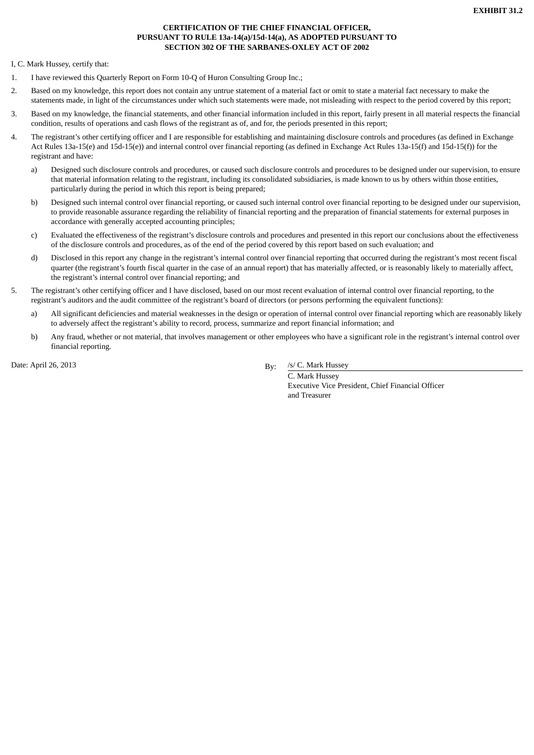### **CERTIFICATION OF THE CHIEF FINANCIAL OFFICER, PURSUANT TO RULE 13a-14(a)/15d-14(a), AS ADOPTED PURSUANT TO SECTION 302 OF THE SARBANES-OXLEY ACT OF 2002**

I, C. Mark Hussey, certify that:

- 1. I have reviewed this Quarterly Report on Form 10-Q of Huron Consulting Group Inc.;
- 2. Based on my knowledge, this report does not contain any untrue statement of a material fact or omit to state a material fact necessary to make the statements made, in light of the circumstances under which such statements were made, not misleading with respect to the period covered by this report;
- 3. Based on my knowledge, the financial statements, and other financial information included in this report, fairly present in all material respects the financial condition, results of operations and cash flows of the registrant as of, and for, the periods presented in this report;
- 4. The registrant's other certifying officer and I are responsible for establishing and maintaining disclosure controls and procedures (as defined in Exchange Act Rules 13a-15(e) and 15d-15(e)) and internal control over financial reporting (as defined in Exchange Act Rules 13a-15(f) and 15d-15(f)) for the registrant and have:
	- a) Designed such disclosure controls and procedures, or caused such disclosure controls and procedures to be designed under our supervision, to ensure that material information relating to the registrant, including its consolidated subsidiaries, is made known to us by others within those entities, particularly during the period in which this report is being prepared;
	- b) Designed such internal control over financial reporting, or caused such internal control over financial reporting to be designed under our supervision, to provide reasonable assurance regarding the reliability of financial reporting and the preparation of financial statements for external purposes in accordance with generally accepted accounting principles;
	- c) Evaluated the effectiveness of the registrant's disclosure controls and procedures and presented in this report our conclusions about the effectiveness of the disclosure controls and procedures, as of the end of the period covered by this report based on such evaluation; and
	- d) Disclosed in this report any change in the registrant's internal control over financial reporting that occurred during the registrant's most recent fiscal quarter (the registrant's fourth fiscal quarter in the case of an annual report) that has materially affected, or is reasonably likely to materially affect, the registrant's internal control over financial reporting; and
- 5. The registrant's other certifying officer and I have disclosed, based on our most recent evaluation of internal control over financial reporting, to the registrant's auditors and the audit committee of the registrant's board of directors (or persons performing the equivalent functions):
	- a) All significant deficiencies and material weaknesses in the design or operation of internal control over financial reporting which are reasonably likely to adversely affect the registrant's ability to record, process, summarize and report financial information; and
	- b) Any fraud, whether or not material, that involves management or other employees who have a significant role in the registrant's internal control over financial reporting.

Date: April 26, 2013 By: /s/ C. Mark Hussey

C. Mark Hussey Executive Vice President, Chief Financial Officer and Treasurer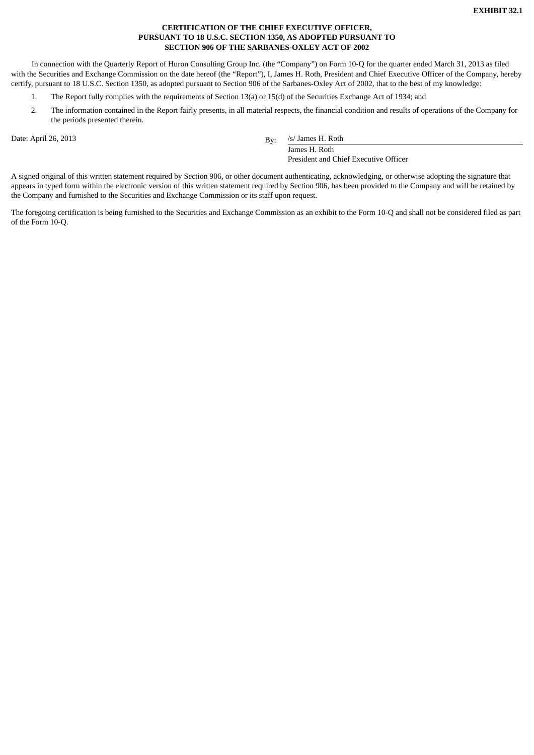### **CERTIFICATION OF THE CHIEF EXECUTIVE OFFICER, PURSUANT TO 18 U.S.C. SECTION 1350, AS ADOPTED PURSUANT TO SECTION 906 OF THE SARBANES-OXLEY ACT OF 2002**

In connection with the Quarterly Report of Huron Consulting Group Inc. (the "Company") on Form 10-Q for the quarter ended March 31, 2013 as filed with the Securities and Exchange Commission on the date hereof (the "Report"), I, James H. Roth, President and Chief Executive Officer of the Company, hereby certify, pursuant to 18 U.S.C. Section 1350, as adopted pursuant to Section 906 of the Sarbanes-Oxley Act of 2002, that to the best of my knowledge:

- 1. The Report fully complies with the requirements of Section 13(a) or 15(d) of the Securities Exchange Act of 1934; and
- 2. The information contained in the Report fairly presents, in all material respects, the financial condition and results of operations of the Company for the periods presented therein.

Date: April 26, 2013 By: /s/ James H. Roth

James H. Roth President and Chief Executive Officer

A signed original of this written statement required by Section 906, or other document authenticating, acknowledging, or otherwise adopting the signature that appears in typed form within the electronic version of this written statement required by Section 906, has been provided to the Company and will be retained by the Company and furnished to the Securities and Exchange Commission or its staff upon request.

The foregoing certification is being furnished to the Securities and Exchange Commission as an exhibit to the Form 10-Q and shall not be considered filed as part of the Form 10-Q.